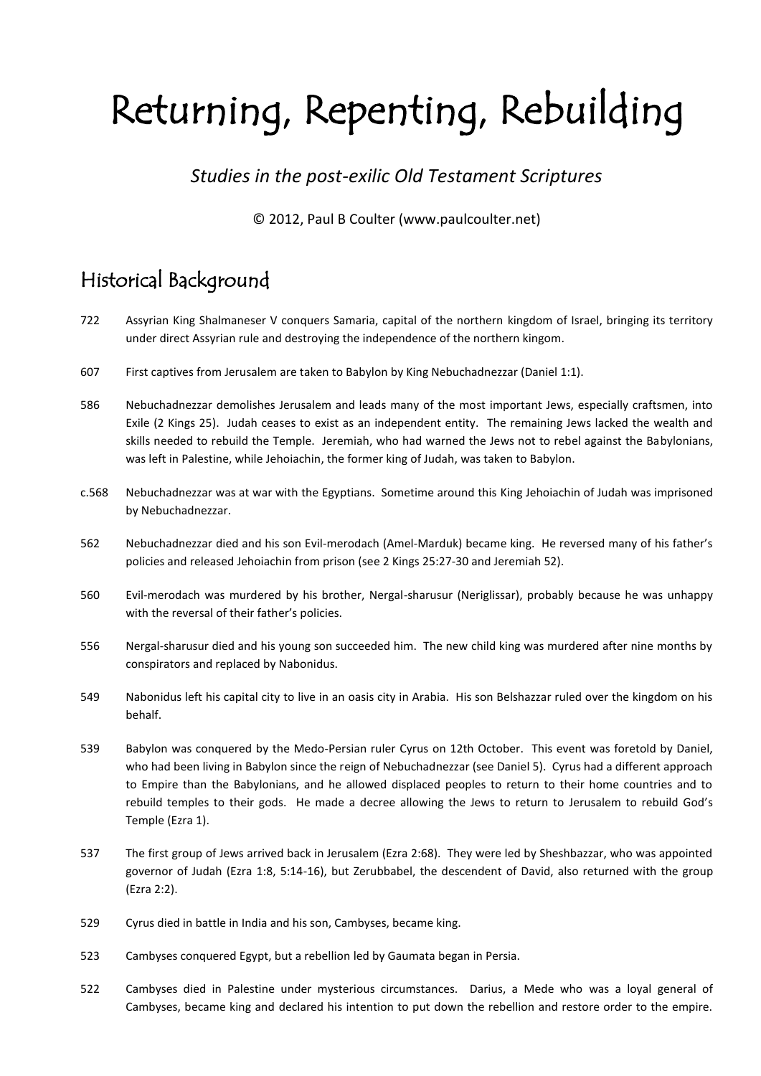# Returning, Repenting, Rebuilding

### *Studies in the post-exilic Old Testament Scriptures*

### © 2012, Paul B Coulter (www.paulcoulter.net)

### Historical Background

- 722 Assyrian King Shalmaneser V conquers Samaria, capital of the northern kingdom of Israel, bringing its territory under direct Assyrian rule and destroying the independence of the northern kingom.
- 607 First captives from Jerusalem are taken to Babylon by King Nebuchadnezzar (Daniel 1:1).
- 586 Nebuchadnezzar demolishes Jerusalem and leads many of the most important Jews, especially craftsmen, into Exile (2 Kings 25). Judah ceases to exist as an independent entity. The remaining Jews lacked the wealth and skills needed to rebuild the Temple. Jeremiah, who had warned the Jews not to rebel against the Babylonians, was left in Palestine, while Jehoiachin, the former king of Judah, was taken to Babylon.
- c.568 Nebuchadnezzar was at war with the Egyptians. Sometime around this King Jehoiachin of Judah was imprisoned by Nebuchadnezzar.
- 562 Nebuchadnezzar died and his son Evil-merodach (Amel-Marduk) became king. He reversed many of his father's policies and released Jehoiachin from prison (see 2 Kings 25:27-30 and Jeremiah 52).
- 560 Evil-merodach was murdered by his brother, Nergal-sharusur (Neriglissar), probably because he was unhappy with the reversal of their father's policies.
- 556 Nergal-sharusur died and his young son succeeded him. The new child king was murdered after nine months by conspirators and replaced by Nabonidus.
- 549 Nabonidus left his capital city to live in an oasis city in Arabia. His son Belshazzar ruled over the kingdom on his behalf.
- 539 Babylon was conquered by the Medo-Persian ruler Cyrus on 12th October. This event was foretold by Daniel, who had been living in Babylon since the reign of Nebuchadnezzar (see Daniel 5). Cyrus had a different approach to Empire than the Babylonians, and he allowed displaced peoples to return to their home countries and to rebuild temples to their gods. He made a decree allowing the Jews to return to Jerusalem to rebuild God's Temple (Ezra 1).
- 537 The first group of Jews arrived back in Jerusalem (Ezra 2:68). They were led by Sheshbazzar, who was appointed governor of Judah (Ezra 1:8, 5:14-16), but Zerubbabel, the descendent of David, also returned with the group (Ezra 2:2).
- 529 Cyrus died in battle in India and his son, Cambyses, became king.
- 523 Cambyses conquered Egypt, but a rebellion led by Gaumata began in Persia.
- 522 Cambyses died in Palestine under mysterious circumstances. Darius, a Mede who was a loyal general of Cambyses, became king and declared his intention to put down the rebellion and restore order to the empire.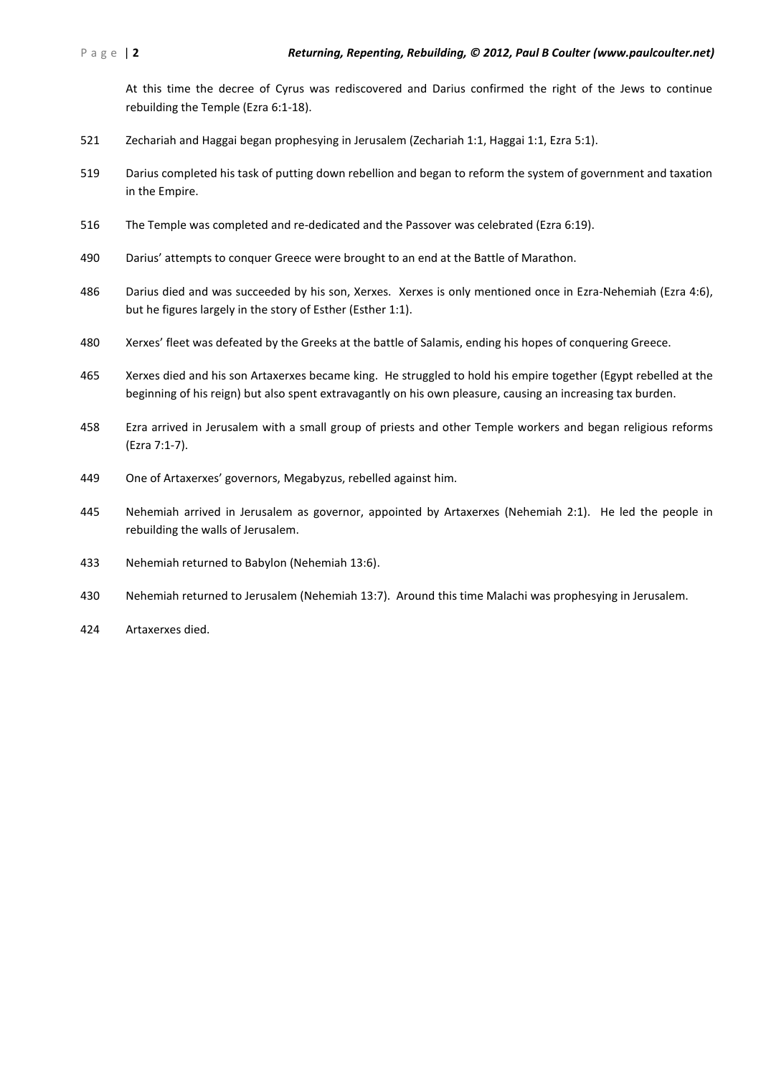At this time the decree of Cyrus was rediscovered and Darius confirmed the right of the Jews to continue rebuilding the Temple (Ezra 6:1-18).

- Zechariah and Haggai began prophesying in Jerusalem (Zechariah 1:1, Haggai 1:1, Ezra 5:1).
- Darius completed his task of putting down rebellion and began to reform the system of government and taxation in the Empire.
- The Temple was completed and re-dedicated and the Passover was celebrated (Ezra 6:19).
- Darius' attempts to conquer Greece were brought to an end at the Battle of Marathon.
- Darius died and was succeeded by his son, Xerxes. Xerxes is only mentioned once in Ezra-Nehemiah (Ezra 4:6), but he figures largely in the story of Esther (Esther 1:1).
- Xerxes' fleet was defeated by the Greeks at the battle of Salamis, ending his hopes of conquering Greece.
- Xerxes died and his son Artaxerxes became king. He struggled to hold his empire together (Egypt rebelled at the beginning of his reign) but also spent extravagantly on his own pleasure, causing an increasing tax burden.
- Ezra arrived in Jerusalem with a small group of priests and other Temple workers and began religious reforms (Ezra 7:1-7).
- One of Artaxerxes' governors, Megabyzus, rebelled against him.
- Nehemiah arrived in Jerusalem as governor, appointed by Artaxerxes (Nehemiah 2:1). He led the people in rebuilding the walls of Jerusalem.
- Nehemiah returned to Babylon (Nehemiah 13:6).
- Nehemiah returned to Jerusalem (Nehemiah 13:7). Around this time Malachi was prophesying in Jerusalem.
- Artaxerxes died.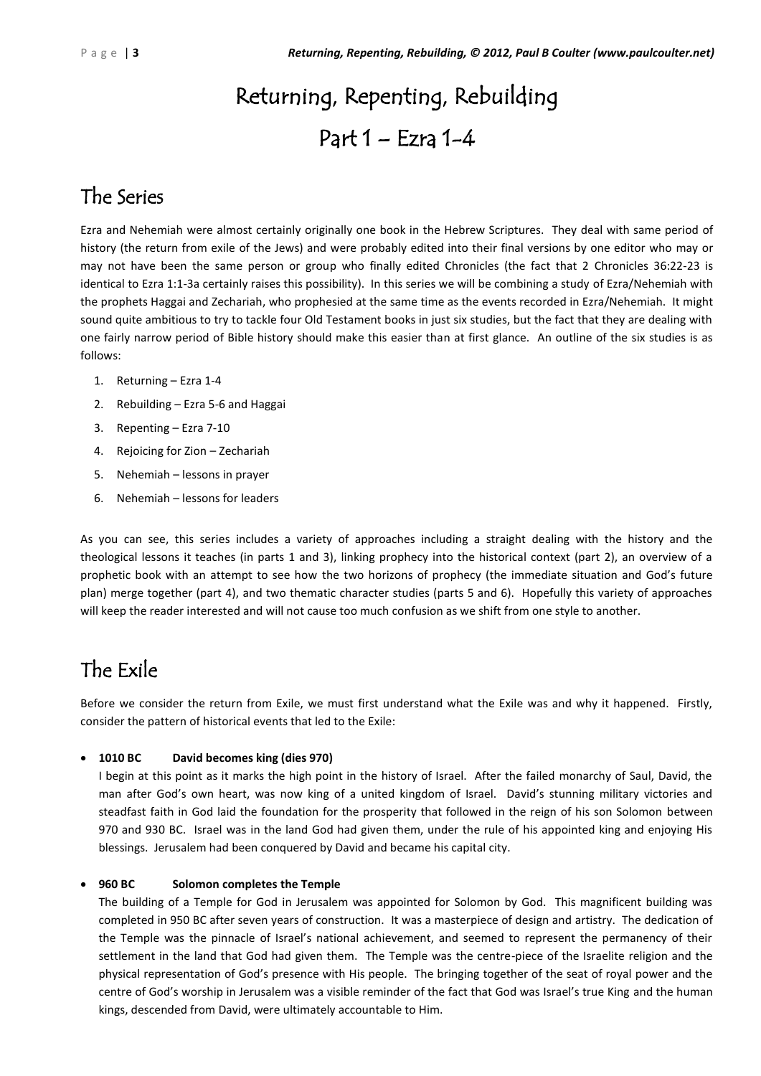# Returning, Repenting, Rebuilding Part 1 – Ezra 1-4

### The Series

Ezra and Nehemiah were almost certainly originally one book in the Hebrew Scriptures. They deal with same period of history (the return from exile of the Jews) and were probably edited into their final versions by one editor who may or may not have been the same person or group who finally edited Chronicles (the fact that 2 Chronicles 36:22-23 is identical to Ezra 1:1-3a certainly raises this possibility). In this series we will be combining a study of Ezra/Nehemiah with the prophets Haggai and Zechariah, who prophesied at the same time as the events recorded in Ezra/Nehemiah. It might sound quite ambitious to try to tackle four Old Testament books in just six studies, but the fact that they are dealing with one fairly narrow period of Bible history should make this easier than at first glance. An outline of the six studies is as follows:

- 1. Returning Ezra 1-4
- 2. Rebuilding Ezra 5-6 and Haggai
- 3. Repenting Ezra 7-10
- 4. Rejoicing for Zion Zechariah
- 5. Nehemiah lessons in prayer
- 6. Nehemiah lessons for leaders

As you can see, this series includes a variety of approaches including a straight dealing with the history and the theological lessons it teaches (in parts 1 and 3), linking prophecy into the historical context (part 2), an overview of a prophetic book with an attempt to see how the two horizons of prophecy (the immediate situation and God's future plan) merge together (part 4), and two thematic character studies (parts 5 and 6). Hopefully this variety of approaches will keep the reader interested and will not cause too much confusion as we shift from one style to another.

### The Exile

Before we consider the return from Exile, we must first understand what the Exile was and why it happened. Firstly, consider the pattern of historical events that led to the Exile:

### **1010 BC David becomes king (dies 970)**

I begin at this point as it marks the high point in the history of Israel. After the failed monarchy of Saul, David, the man after God's own heart, was now king of a united kingdom of Israel. David's stunning military victories and steadfast faith in God laid the foundation for the prosperity that followed in the reign of his son Solomon between 970 and 930 BC. Israel was in the land God had given them, under the rule of his appointed king and enjoying His blessings. Jerusalem had been conquered by David and became his capital city.

#### **960 BC Solomon completes the Temple**

The building of a Temple for God in Jerusalem was appointed for Solomon by God. This magnificent building was completed in 950 BC after seven years of construction. It was a masterpiece of design and artistry. The dedication of the Temple was the pinnacle of Israel's national achievement, and seemed to represent the permanency of their settlement in the land that God had given them. The Temple was the centre-piece of the Israelite religion and the physical representation of God's presence with His people. The bringing together of the seat of royal power and the centre of God's worship in Jerusalem was a visible reminder of the fact that God was Israel's true King and the human kings, descended from David, were ultimately accountable to Him.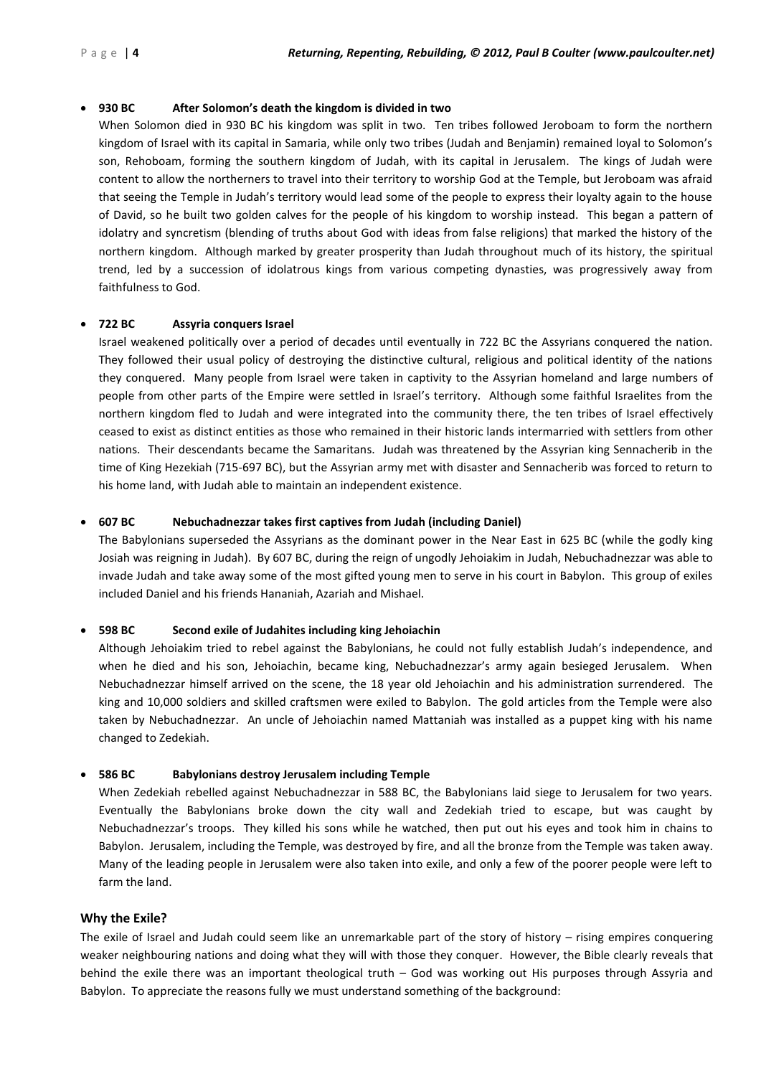### **930 BC After Solomon's death the kingdom is divided in two**

When Solomon died in 930 BC his kingdom was split in two. Ten tribes followed Jeroboam to form the northern kingdom of Israel with its capital in Samaria, while only two tribes (Judah and Benjamin) remained loyal to Solomon's son, Rehoboam, forming the southern kingdom of Judah, with its capital in Jerusalem. The kings of Judah were content to allow the northerners to travel into their territory to worship God at the Temple, but Jeroboam was afraid that seeing the Temple in Judah's territory would lead some of the people to express their loyalty again to the house of David, so he built two golden calves for the people of his kingdom to worship instead. This began a pattern of idolatry and syncretism (blending of truths about God with ideas from false religions) that marked the history of the northern kingdom. Although marked by greater prosperity than Judah throughout much of its history, the spiritual trend, led by a succession of idolatrous kings from various competing dynasties, was progressively away from faithfulness to God.

### **722 BC Assyria conquers Israel**

Israel weakened politically over a period of decades until eventually in 722 BC the Assyrians conquered the nation. They followed their usual policy of destroying the distinctive cultural, religious and political identity of the nations they conquered. Many people from Israel were taken in captivity to the Assyrian homeland and large numbers of people from other parts of the Empire were settled in Israel's territory. Although some faithful Israelites from the northern kingdom fled to Judah and were integrated into the community there, the ten tribes of Israel effectively ceased to exist as distinct entities as those who remained in their historic lands intermarried with settlers from other nations. Their descendants became the Samaritans. Judah was threatened by the Assyrian king Sennacherib in the time of King Hezekiah (715-697 BC), but the Assyrian army met with disaster and Sennacherib was forced to return to his home land, with Judah able to maintain an independent existence.

#### **607 BC Nebuchadnezzar takes first captives from Judah (including Daniel)**

The Babylonians superseded the Assyrians as the dominant power in the Near East in 625 BC (while the godly king Josiah was reigning in Judah). By 607 BC, during the reign of ungodly Jehoiakim in Judah, Nebuchadnezzar was able to invade Judah and take away some of the most gifted young men to serve in his court in Babylon. This group of exiles included Daniel and his friends Hananiah, Azariah and Mishael.

#### **598 BC Second exile of Judahites including king Jehoiachin**

Although Jehoiakim tried to rebel against the Babylonians, he could not fully establish Judah's independence, and when he died and his son, Jehoiachin, became king, Nebuchadnezzar's army again besieged Jerusalem. When Nebuchadnezzar himself arrived on the scene, the 18 year old Jehoiachin and his administration surrendered. The king and 10,000 soldiers and skilled craftsmen were exiled to Babylon. The gold articles from the Temple were also taken by Nebuchadnezzar. An uncle of Jehoiachin named Mattaniah was installed as a puppet king with his name changed to Zedekiah.

#### **586 BC Babylonians destroy Jerusalem including Temple**

When Zedekiah rebelled against Nebuchadnezzar in 588 BC, the Babylonians laid siege to Jerusalem for two years. Eventually the Babylonians broke down the city wall and Zedekiah tried to escape, but was caught by Nebuchadnezzar's troops. They killed his sons while he watched, then put out his eyes and took him in chains to Babylon. Jerusalem, including the Temple, was destroyed by fire, and all the bronze from the Temple was taken away. Many of the leading people in Jerusalem were also taken into exile, and only a few of the poorer people were left to farm the land.

#### **Why the Exile?**

The exile of Israel and Judah could seem like an unremarkable part of the story of history – rising empires conquering weaker neighbouring nations and doing what they will with those they conquer. However, the Bible clearly reveals that behind the exile there was an important theological truth – God was working out His purposes through Assyria and Babylon. To appreciate the reasons fully we must understand something of the background: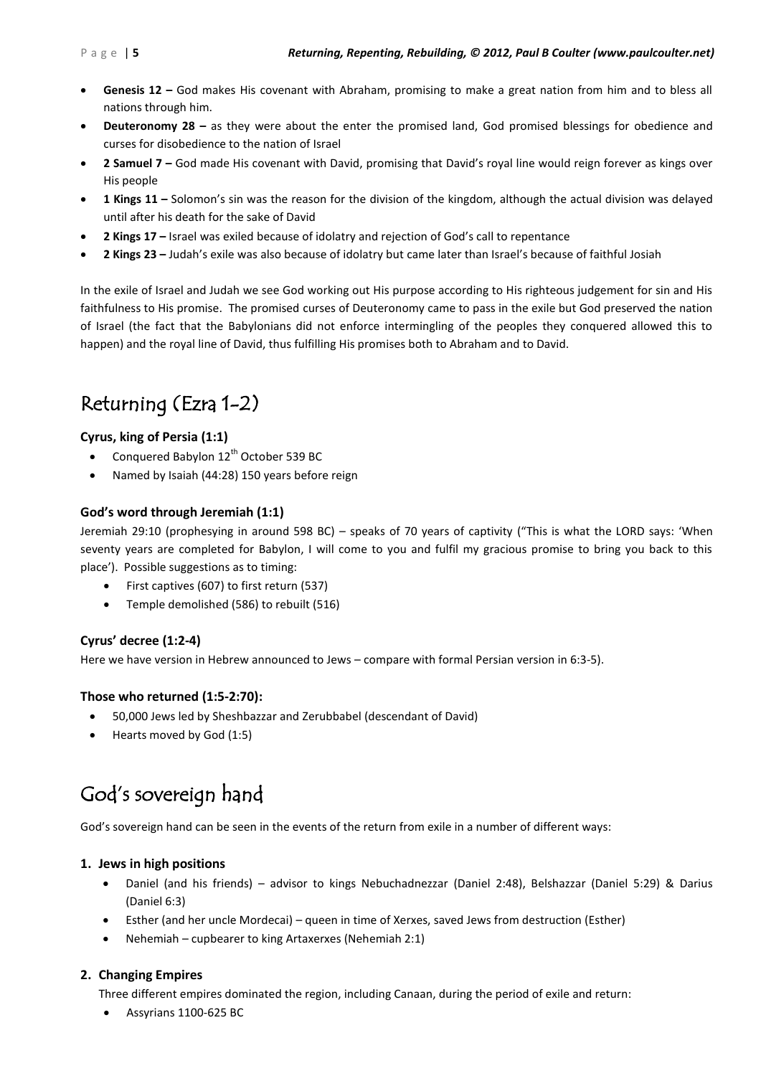- **Genesis 12 –** God makes His covenant with Abraham, promising to make a great nation from him and to bless all nations through him.
- **Deuteronomy 28 –** as they were about the enter the promised land, God promised blessings for obedience and curses for disobedience to the nation of Israel
- **2 Samuel 7 –** God made His covenant with David, promising that David's royal line would reign forever as kings over His people
- **1 Kings 11 –** Solomon's sin was the reason for the division of the kingdom, although the actual division was delayed until after his death for the sake of David
- **2 Kings 17 –** Israel was exiled because of idolatry and rejection of God's call to repentance
- **2 Kings 23 –** Judah's exile was also because of idolatry but came later than Israel's because of faithful Josiah

In the exile of Israel and Judah we see God working out His purpose according to His righteous judgement for sin and His faithfulness to His promise. The promised curses of Deuteronomy came to pass in the exile but God preserved the nation of Israel (the fact that the Babylonians did not enforce intermingling of the peoples they conquered allowed this to happen) and the royal line of David, thus fulfilling His promises both to Abraham and to David.

### Returning (Ezra 1-2)

### **Cyrus, king of Persia (1:1)**

- Conquered Babylon  $12^{th}$  October 539 BC
- Named by Isaiah (44:28) 150 years before reign

### **God's word through Jeremiah (1:1)**

Jeremiah 29:10 (prophesying in around 598 BC) – speaks of 70 years of captivity ("This is what the LORD says: 'When seventy years are completed for Babylon, I will come to you and fulfil my gracious promise to bring you back to this place'). Possible suggestions as to timing:

- First captives (607) to first return (537)
- Temple demolished (586) to rebuilt (516)

### **Cyrus' decree (1:2-4)**

Here we have version in Hebrew announced to Jews – compare with formal Persian version in 6:3-5).

### **Those who returned (1:5-2:70):**

- 50,000 Jews led by Sheshbazzar and Zerubbabel (descendant of David)
- Hearts moved by God (1:5)

### God's sovereign hand

God's sovereign hand can be seen in the events of the return from exile in a number of different ways:

#### **1. Jews in high positions**

- Daniel (and his friends) advisor to kings Nebuchadnezzar (Daniel 2:48), Belshazzar (Daniel 5:29) & Darius (Daniel 6:3)
- Esther (and her uncle Mordecai) queen in time of Xerxes, saved Jews from destruction (Esther)
- Nehemiah cupbearer to king Artaxerxes (Nehemiah 2:1)

### **2. Changing Empires**

Three different empires dominated the region, including Canaan, during the period of exile and return:

Assyrians 1100-625 BC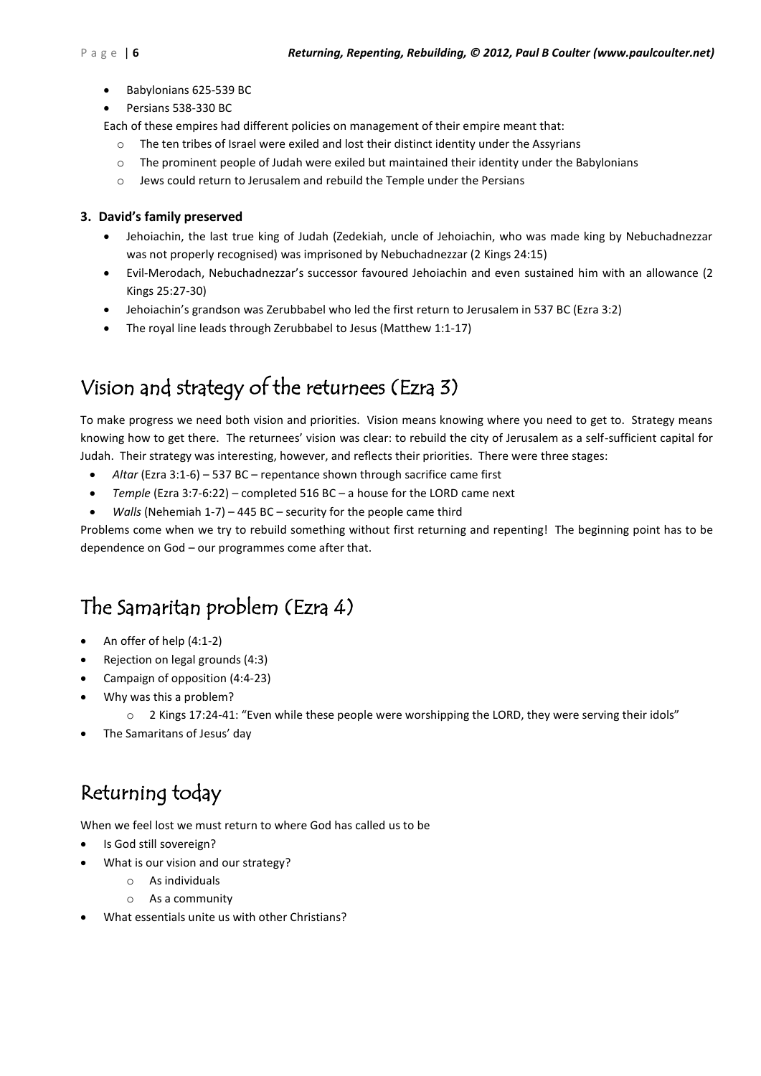- Babylonians 625-539 BC
- Persians 538-330 BC

Each of these empires had different policies on management of their empire meant that:

- o The ten tribes of Israel were exiled and lost their distinct identity under the Assyrians
- $\circ$  The prominent people of Judah were exiled but maintained their identity under the Babylonians
- o Jews could return to Jerusalem and rebuild the Temple under the Persians

### **3. David's family preserved**

- Jehoiachin, the last true king of Judah (Zedekiah, uncle of Jehoiachin, who was made king by Nebuchadnezzar was not properly recognised) was imprisoned by Nebuchadnezzar (2 Kings 24:15)
- Evil-Merodach, Nebuchadnezzar's successor favoured Jehoiachin and even sustained him with an allowance (2 Kings 25:27-30)
- Jehoiachin's grandson was Zerubbabel who led the first return to Jerusalem in 537 BC (Ezra 3:2)
- The royal line leads through Zerubbabel to Jesus (Matthew 1:1-17)

### Vision and strategy of the returnees (Ezra 3)

To make progress we need both vision and priorities. Vision means knowing where you need to get to. Strategy means knowing how to get there. The returnees' vision was clear: to rebuild the city of Jerusalem as a self-sufficient capital for Judah. Their strategy was interesting, however, and reflects their priorities. There were three stages:

- *Altar* (Ezra 3:1-6) 537 BC repentance shown through sacrifice came first
- *Temple* (Ezra 3:7-6:22) completed 516 BC a house for the LORD came next
- *Walls* (Nehemiah 1-7) 445 BC security for the people came third

Problems come when we try to rebuild something without first returning and repenting! The beginning point has to be dependence on God – our programmes come after that.

### The Samaritan problem (Ezra 4)

- An offer of help (4:1-2)
- Rejection on legal grounds (4:3)
- Campaign of opposition (4:4-23)
- Why was this a problem?
	- $\circ$  2 Kings 17:24-41: "Even while these people were worshipping the LORD, they were serving their idols"
	- The Samaritans of Jesus' day

### Returning today

When we feel lost we must return to where God has called us to be

- Is God still sovereign?
- What is our vision and our strategy?
	- o As individuals
	- o As a community
- What essentials unite us with other Christians?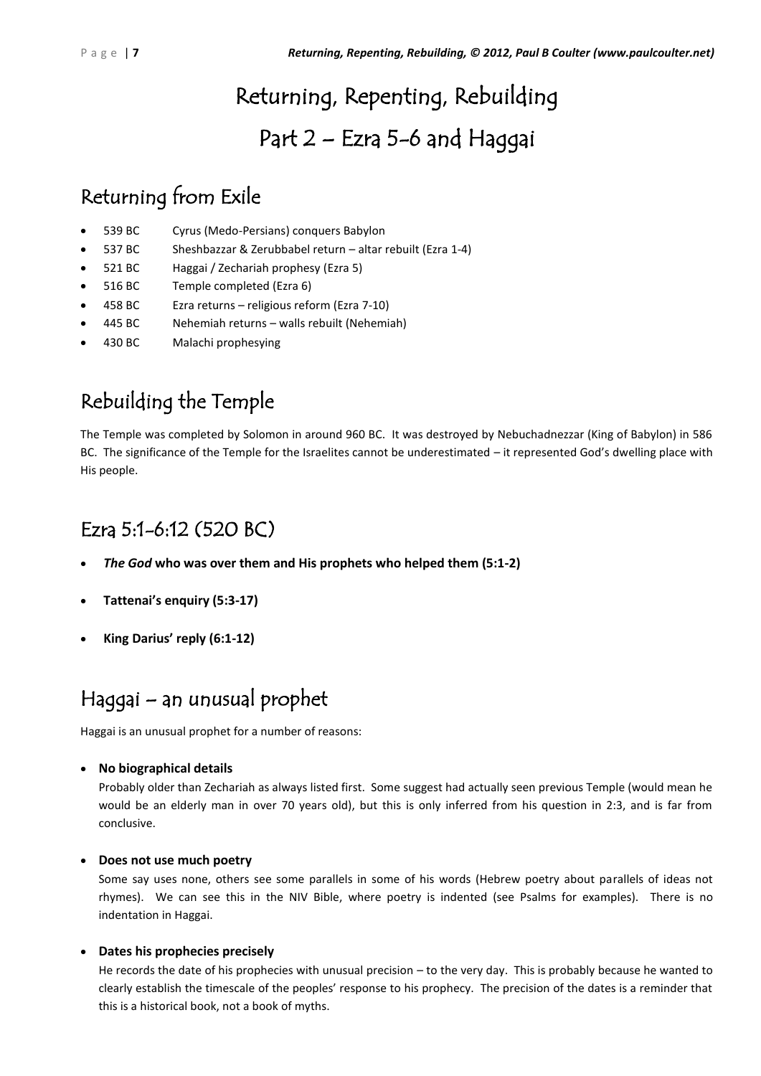# Returning, Repenting, Rebuilding

### Part 2 – Ezra 5-6 and Haggai

### Returning from Exile

- 539 BC Cyrus (Medo-Persians) conquers Babylon
- 537 BC Sheshbazzar & Zerubbabel return altar rebuilt (Ezra 1-4)
- 521 BC Haggai / Zechariah prophesy (Ezra 5)
- 516 BC Temple completed (Ezra 6)
- 458 BC Ezra returns religious reform (Ezra 7-10)
- 445 BC Nehemiah returns walls rebuilt (Nehemiah)
- 430 BC Malachi prophesying

### Rebuilding the Temple

The Temple was completed by Solomon in around 960 BC. It was destroyed by Nebuchadnezzar (King of Babylon) in 586 BC. The significance of the Temple for the Israelites cannot be underestimated – it represented God's dwelling place with His people.

### Ezra 5:1-6:12 (520 BC)

- *The God* **who was over them and His prophets who helped them (5:1-2)**
- **Tattenai's enquiry (5:3-17)**
- **King Darius' reply (6:1-12)**

### Haggai – an unusual prophet

Haggai is an unusual prophet for a number of reasons:

**No biographical details**

Probably older than Zechariah as always listed first. Some suggest had actually seen previous Temple (would mean he would be an elderly man in over 70 years old), but this is only inferred from his question in 2:3, and is far from conclusive.

### **Does not use much poetry**

Some say uses none, others see some parallels in some of his words (Hebrew poetry about parallels of ideas not rhymes). We can see this in the NIV Bible, where poetry is indented (see Psalms for examples). There is no indentation in Haggai.

### **Dates his prophecies precisely**

He records the date of his prophecies with unusual precision – to the very day. This is probably because he wanted to clearly establish the timescale of the peoples' response to his prophecy. The precision of the dates is a reminder that this is a historical book, not a book of myths.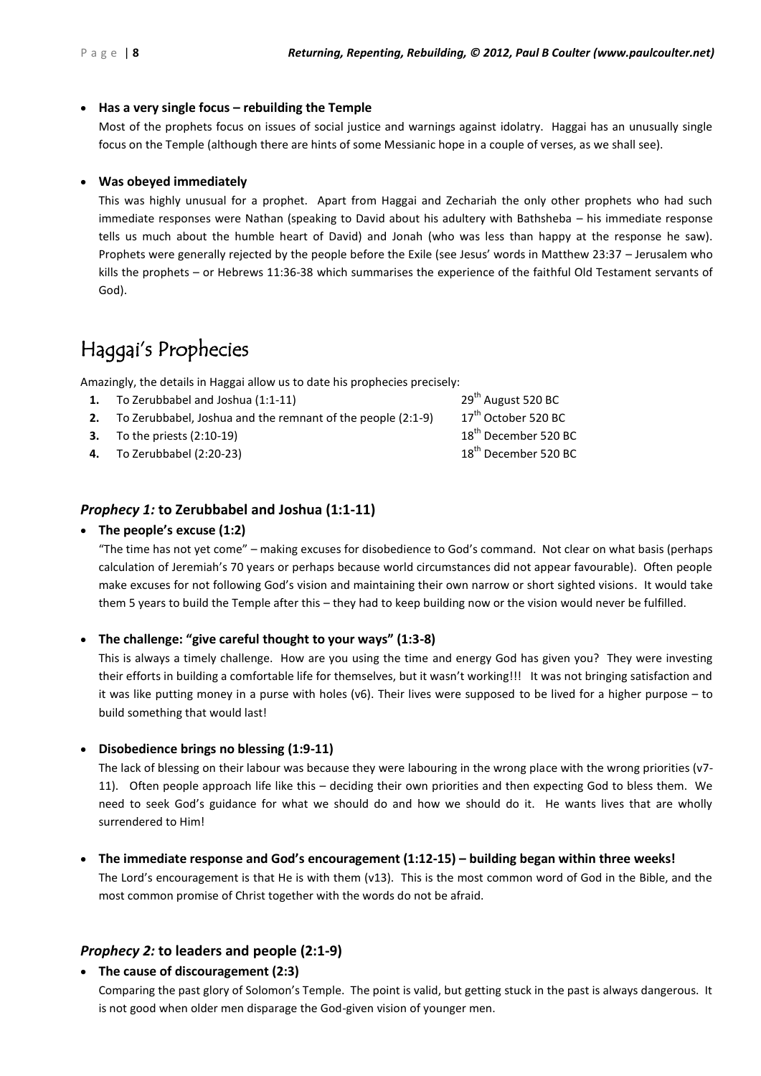### **Has a very single focus – rebuilding the Temple**

Most of the prophets focus on issues of social justice and warnings against idolatry. Haggai has an unusually single focus on the Temple (although there are hints of some Messianic hope in a couple of verses, as we shall see).

#### **Was obeyed immediately**

This was highly unusual for a prophet. Apart from Haggai and Zechariah the only other prophets who had such immediate responses were Nathan (speaking to David about his adultery with Bathsheba – his immediate response tells us much about the humble heart of David) and Jonah (who was less than happy at the response he saw). Prophets were generally rejected by the people before the Exile (see Jesus' words in Matthew 23:37 – Jerusalem who kills the prophets – or Hebrews 11:36-38 which summarises the experience of the faithful Old Testament servants of God).

### Haggai's Prophecies

Amazingly, the details in Haggai allow us to date his prophecies precisely:

- **1.** To Zerubbabel and Joshua (1:1-11) 29<sup>th</sup> August 520 BC
- **2.** To Zerubbabel, Joshua and the remnant of the people  $(2:1-9)$  17<sup>th</sup> October 520 BC
- **3.** To the priests  $(2:10-19)$  18<sup>th</sup> December 520 BC
- **4.** To Zerubbabel (2:20-23) 18<sup>th</sup> December 520 BC

### *Prophecy 1:* **to Zerubbabel and Joshua (1:1-11)**

#### **The people's excuse (1:2)**

"The time has not yet come" – making excuses for disobedience to God's command. Not clear on what basis (perhaps calculation of Jeremiah's 70 years or perhaps because world circumstances did not appear favourable). Often people make excuses for not following God's vision and maintaining their own narrow or short sighted visions. It would take them 5 years to build the Temple after this – they had to keep building now or the vision would never be fulfilled.

### **The challenge: "give careful thought to your ways" (1:3-8)**

This is always a timely challenge. How are you using the time and energy God has given you? They were investing their efforts in building a comfortable life for themselves, but it wasn't working!!! It was not bringing satisfaction and it was like putting money in a purse with holes (v6). Their lives were supposed to be lived for a higher purpose – to build something that would last!

#### **Disobedience brings no blessing (1:9-11)**

The lack of blessing on their labour was because they were labouring in the wrong place with the wrong priorities (v7- 11). Often people approach life like this – deciding their own priorities and then expecting God to bless them. We need to seek God's guidance for what we should do and how we should do it. He wants lives that are wholly surrendered to Him!

### **The immediate response and God's encouragement (1:12-15) – building began within three weeks!**

The Lord's encouragement is that He is with them (v13). This is the most common word of God in the Bible, and the most common promise of Christ together with the words do not be afraid.

### *Prophecy 2:* **to leaders and people (2:1-9)**

**The cause of discouragement (2:3)**

Comparing the past glory of Solomon's Temple. The point is valid, but getting stuck in the past is always dangerous. It is not good when older men disparage the God-given vision of younger men.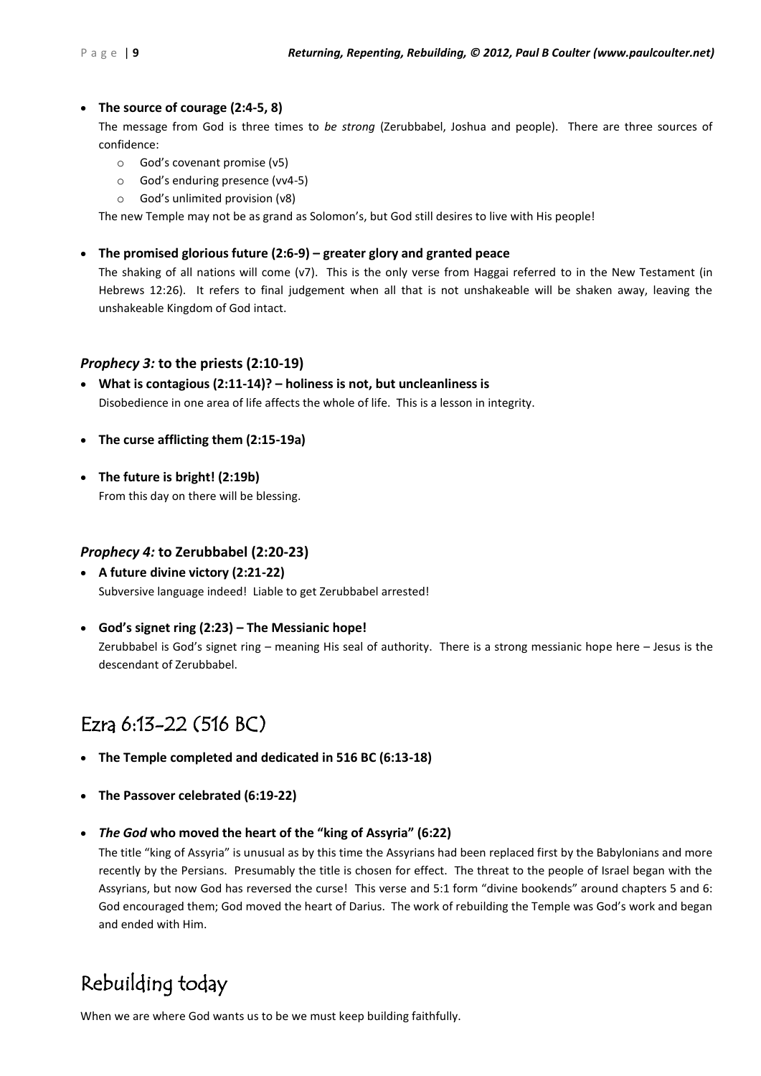### **The source of courage (2:4-5, 8)**

The message from God is three times to *be strong* (Zerubbabel, Joshua and people). There are three sources of confidence:

- o God's covenant promise (v5)
- o God's enduring presence (vv4-5)
- o God's unlimited provision (v8)

The new Temple may not be as grand as Solomon's, but God still desires to live with His people!

### **The promised glorious future (2:6-9) – greater glory and granted peace**

The shaking of all nations will come (v7). This is the only verse from Haggai referred to in the New Testament (in Hebrews 12:26). It refers to final judgement when all that is not unshakeable will be shaken away, leaving the unshakeable Kingdom of God intact.

### *Prophecy 3:* **to the priests (2:10-19)**

- **What is contagious (2:11-14)? – holiness is not, but uncleanliness is** Disobedience in one area of life affects the whole of life. This is a lesson in integrity.
- **The curse afflicting them (2:15-19a)**
- **The future is bright! (2:19b)** From this day on there will be blessing.

### *Prophecy 4:* **to Zerubbabel (2:20-23)**

- **A future divine victory (2:21-22)** Subversive language indeed! Liable to get Zerubbabel arrested!
- **God's signet ring (2:23) – The Messianic hope!** Zerubbabel is God's signet ring – meaning His seal of authority. There is a strong messianic hope here – Jesus is the descendant of Zerubbabel.

### Ezra 6:13-22 (516 BC)

- **The Temple completed and dedicated in 516 BC (6:13-18)**
- **The Passover celebrated (6:19-22)**
- *The God* **who moved the heart of the "king of Assyria" (6:22)**

The title "king of Assyria" is unusual as by this time the Assyrians had been replaced first by the Babylonians and more recently by the Persians. Presumably the title is chosen for effect. The threat to the people of Israel began with the Assyrians, but now God has reversed the curse! This verse and 5:1 form "divine bookends" around chapters 5 and 6: God encouraged them; God moved the heart of Darius. The work of rebuilding the Temple was God's work and began and ended with Him.

### Rebuilding today

When we are where God wants us to be we must keep building faithfully.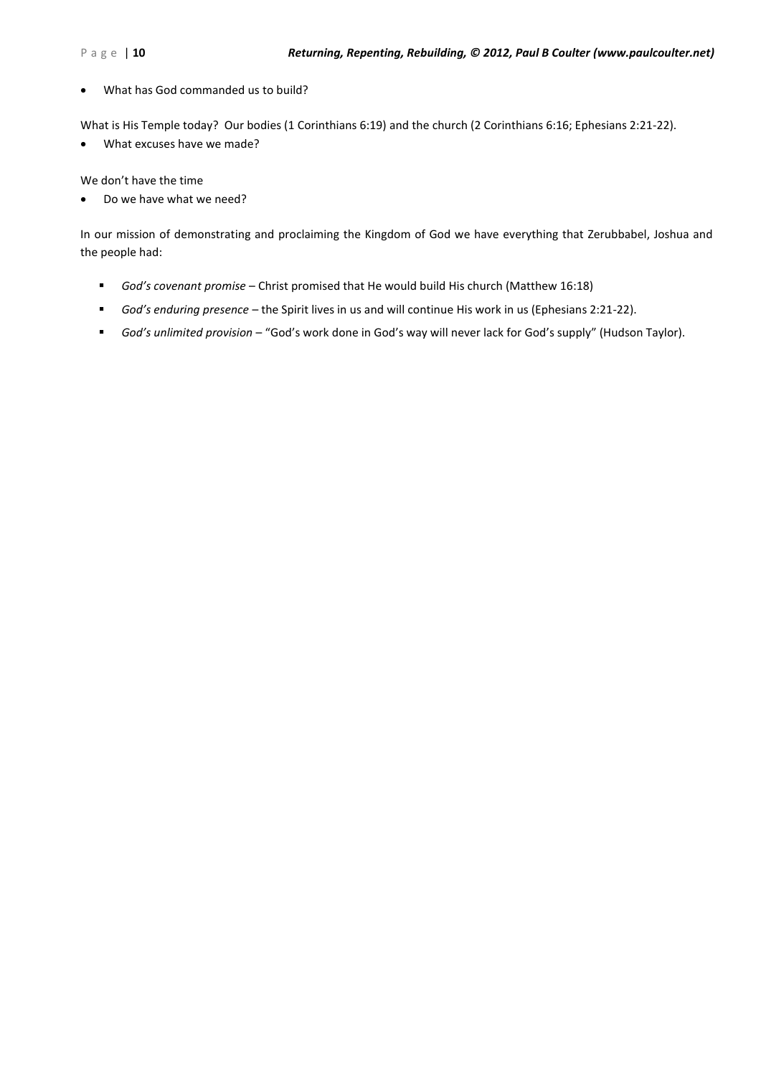What has God commanded us to build?

What is His Temple today? Our bodies (1 Corinthians 6:19) and the church (2 Corinthians 6:16; Ephesians 2:21-22).

What excuses have we made?

We don't have the time

Do we have what we need?

In our mission of demonstrating and proclaiming the Kingdom of God we have everything that Zerubbabel, Joshua and the people had:

- *God's covenant promise* Christ promised that He would build His church (Matthew 16:18)
- *God's enduring presence* the Spirit lives in us and will continue His work in us (Ephesians 2:21-22).
- *God's unlimited provision* "God's work done in God's way will never lack for God's supply" (Hudson Taylor).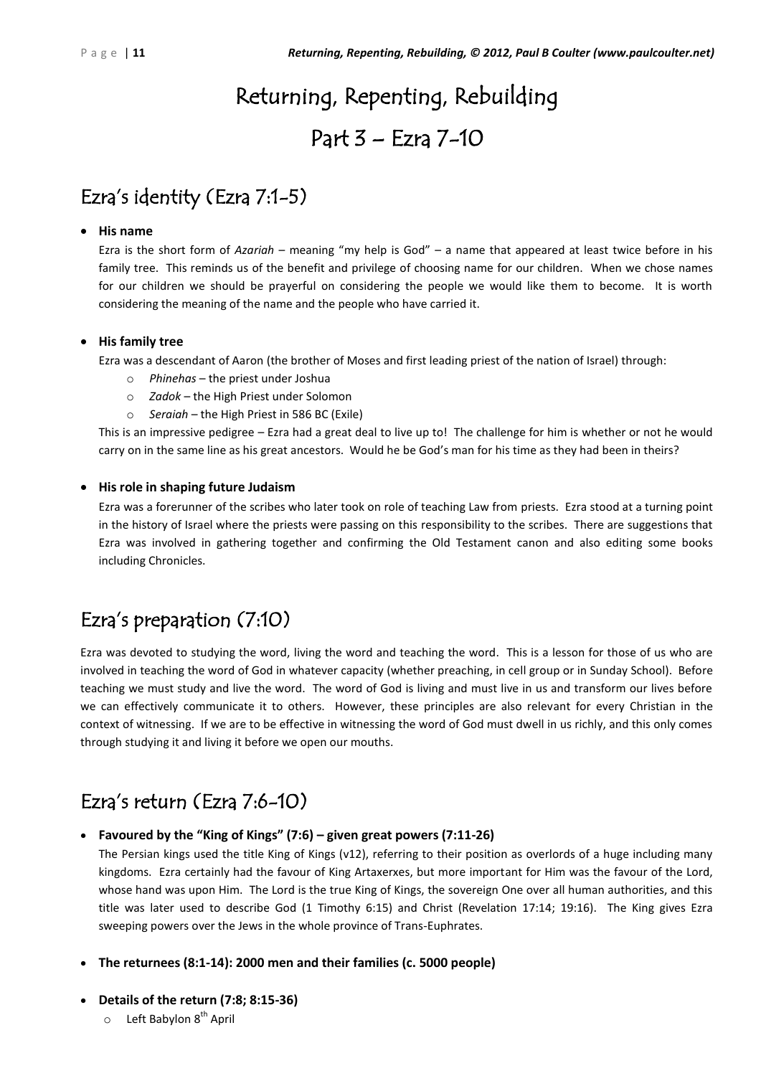## Returning, Repenting, Rebuilding Part 3 – Ezra 7-10

### Ezra's identity (Ezra 7:1-5)

### **His name**

Ezra is the short form of *Azariah* – meaning "my help is God" – a name that appeared at least twice before in his family tree. This reminds us of the benefit and privilege of choosing name for our children. When we chose names for our children we should be prayerful on considering the people we would like them to become. It is worth considering the meaning of the name and the people who have carried it.

### **His family tree**

Ezra was a descendant of Aaron (the brother of Moses and first leading priest of the nation of Israel) through:

- o *Phinehas* the priest under Joshua
- o *Zadok* the High Priest under Solomon
- o *Seraiah* the High Priest in 586 BC (Exile)

This is an impressive pedigree – Ezra had a great deal to live up to! The challenge for him is whether or not he would carry on in the same line as his great ancestors. Would he be God's man for his time as they had been in theirs?

### **His role in shaping future Judaism**

Ezra was a forerunner of the scribes who later took on role of teaching Law from priests. Ezra stood at a turning point in the history of Israel where the priests were passing on this responsibility to the scribes. There are suggestions that Ezra was involved in gathering together and confirming the Old Testament canon and also editing some books including Chronicles.

### Ezra's preparation (7:10)

Ezra was devoted to studying the word, living the word and teaching the word. This is a lesson for those of us who are involved in teaching the word of God in whatever capacity (whether preaching, in cell group or in Sunday School). Before teaching we must study and live the word. The word of God is living and must live in us and transform our lives before we can effectively communicate it to others. However, these principles are also relevant for every Christian in the context of witnessing. If we are to be effective in witnessing the word of God must dwell in us richly, and this only comes through studying it and living it before we open our mouths.

### Ezra's return (Ezra 7:6-10)

### **Favoured by the "King of Kings" (7:6) – given great powers (7:11-26)**

The Persian kings used the title King of Kings (v12), referring to their position as overlords of a huge including many kingdoms. Ezra certainly had the favour of King Artaxerxes, but more important for Him was the favour of the Lord, whose hand was upon Him. The Lord is the true King of Kings, the sovereign One over all human authorities, and this title was later used to describe God (1 Timothy 6:15) and Christ (Revelation 17:14; 19:16). The King gives Ezra sweeping powers over the Jews in the whole province of Trans-Euphrates.

### **The returnees (8:1-14): 2000 men and their families (c. 5000 people)**

- **Details of the return (7:8; 8:15-36)**
	- o Left Babylon 8<sup>th</sup> April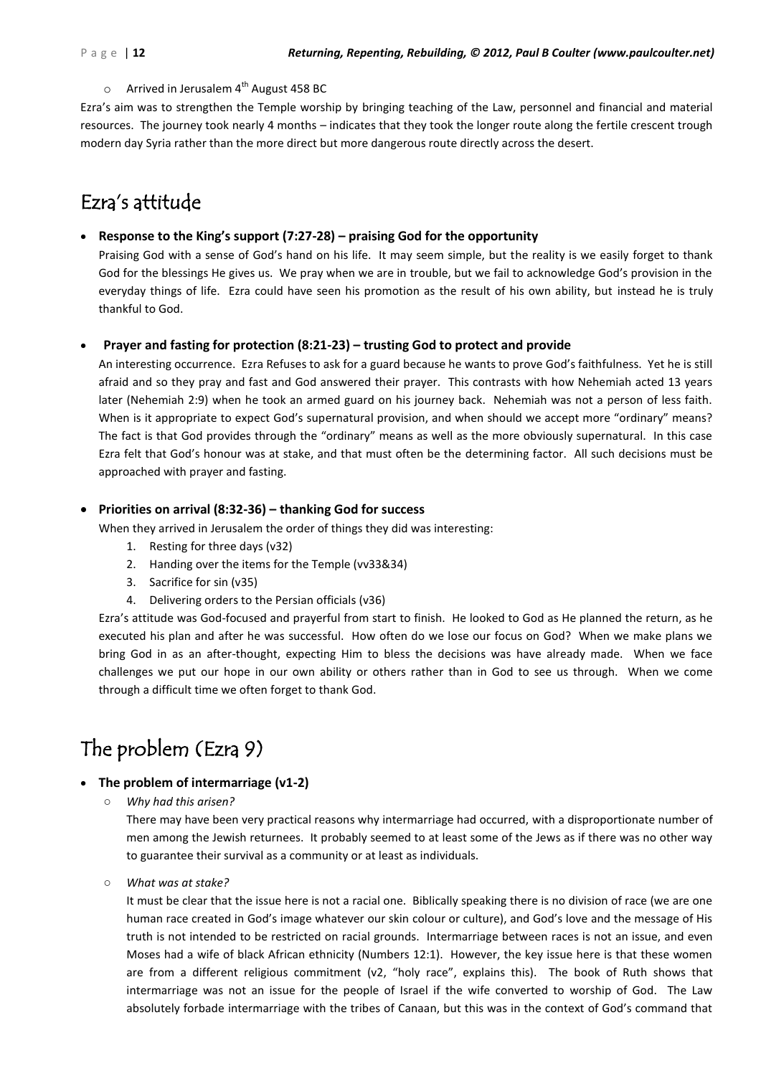#### $\circ$  Arrived in Jerusalem 4<sup>th</sup> August 458 BC

Ezra's aim was to strengthen the Temple worship by bringing teaching of the Law, personnel and financial and material resources. The journey took nearly 4 months – indicates that they took the longer route along the fertile crescent trough modern day Syria rather than the more direct but more dangerous route directly across the desert.

### Ezra's attitude

### **Response to the King's support (7:27-28) – praising God for the opportunity**

Praising God with a sense of God's hand on his life. It may seem simple, but the reality is we easily forget to thank God for the blessings He gives us. We pray when we are in trouble, but we fail to acknowledge God's provision in the everyday things of life. Ezra could have seen his promotion as the result of his own ability, but instead he is truly thankful to God.

### **Prayer and fasting for protection (8:21-23) – trusting God to protect and provide**

An interesting occurrence. Ezra Refuses to ask for a guard because he wants to prove God's faithfulness. Yet he is still afraid and so they pray and fast and God answered their prayer. This contrasts with how Nehemiah acted 13 years later (Nehemiah 2:9) when he took an armed guard on his journey back. Nehemiah was not a person of less faith. When is it appropriate to expect God's supernatural provision, and when should we accept more "ordinary" means? The fact is that God provides through the "ordinary" means as well as the more obviously supernatural. In this case Ezra felt that God's honour was at stake, and that must often be the determining factor. All such decisions must be approached with prayer and fasting.

#### **Priorities on arrival (8:32-36) – thanking God for success**

When they arrived in Jerusalem the order of things they did was interesting:

- 1. Resting for three days (v32)
- 2. Handing over the items for the Temple (vv33&34)
- 3. Sacrifice for sin (v35)
- 4. Delivering orders to the Persian officials (v36)

Ezra's attitude was God-focused and prayerful from start to finish. He looked to God as He planned the return, as he executed his plan and after he was successful. How often do we lose our focus on God? When we make plans we bring God in as an after-thought, expecting Him to bless the decisions was have already made. When we face challenges we put our hope in our own ability or others rather than in God to see us through. When we come through a difficult time we often forget to thank God.

### The problem (Ezra 9)

#### **The problem of intermarriage (v1-2)**

○ *Why had this arisen?*

There may have been very practical reasons why intermarriage had occurred, with a disproportionate number of men among the Jewish returnees. It probably seemed to at least some of the Jews as if there was no other way to guarantee their survival as a community or at least as individuals.

○ *What was at stake?*

It must be clear that the issue here is not a racial one. Biblically speaking there is no division of race (we are one human race created in God's image whatever our skin colour or culture), and God's love and the message of His truth is not intended to be restricted on racial grounds. Intermarriage between races is not an issue, and even Moses had a wife of black African ethnicity (Numbers 12:1). However, the key issue here is that these women are from a different religious commitment (v2, "holy race", explains this). The book of Ruth shows that intermarriage was not an issue for the people of Israel if the wife converted to worship of God. The Law absolutely forbade intermarriage with the tribes of Canaan, but this was in the context of God's command that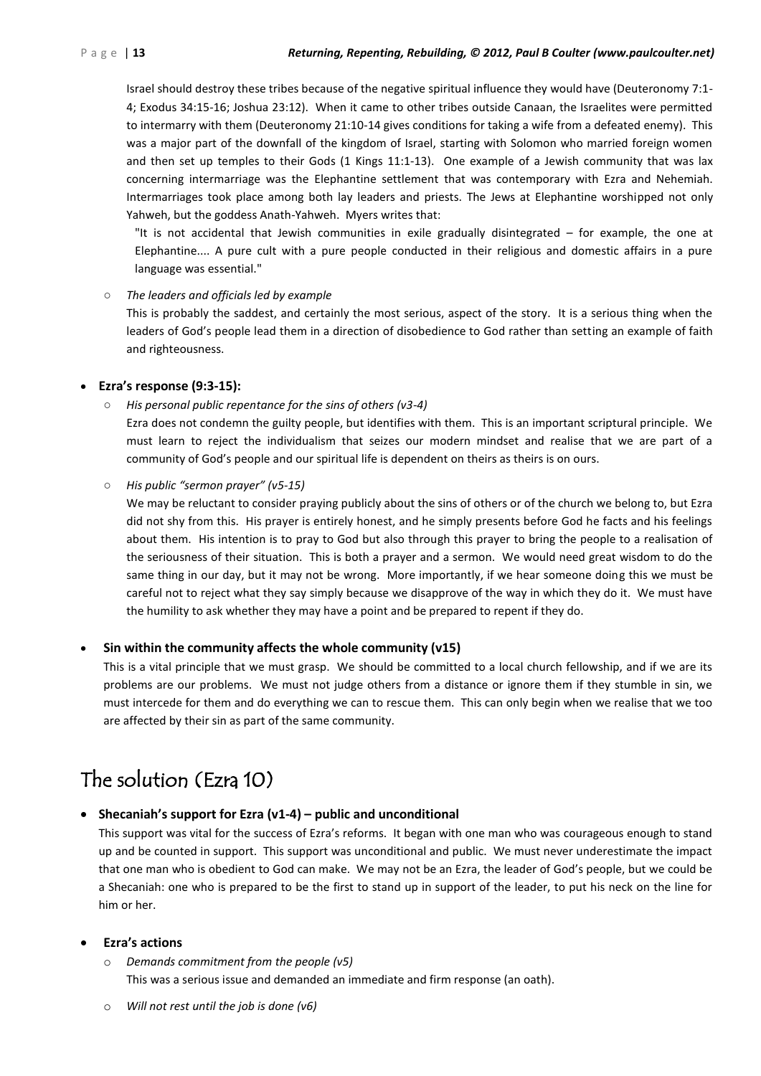Israel should destroy these tribes because of the negative spiritual influence they would have (Deuteronomy 7:1- 4; Exodus 34:15-16; Joshua 23:12). When it came to other tribes outside Canaan, the Israelites were permitted to intermarry with them (Deuteronomy 21:10-14 gives conditions for taking a wife from a defeated enemy). This was a major part of the downfall of the kingdom of Israel, starting with Solomon who married foreign women and then set up temples to their Gods (1 Kings 11:1-13). One example of a Jewish community that was lax concerning intermarriage was the Elephantine settlement that was contemporary with Ezra and Nehemiah. Intermarriages took place among both lay leaders and priests. The Jews at Elephantine worshipped not only Yahweh, but the goddess Anath-Yahweh. Myers writes that:

"It is not accidental that Jewish communities in exile gradually disintegrated – for example, the one at Elephantine.... A pure cult with a pure people conducted in their religious and domestic affairs in a pure language was essential."

○ *The leaders and officials led by example*

This is probably the saddest, and certainly the most serious, aspect of the story. It is a serious thing when the leaders of God's people lead them in a direction of disobedience to God rather than setting an example of faith and righteousness.

### **Ezra's response (9:3-15):**

○ *His personal public repentance for the sins of others (v3-4)*

Ezra does not condemn the guilty people, but identifies with them. This is an important scriptural principle. We must learn to reject the individualism that seizes our modern mindset and realise that we are part of a community of God's people and our spiritual life is dependent on theirs as theirs is on ours.

○ *His public "sermon prayer" (v5-15)*

We may be reluctant to consider praying publicly about the sins of others or of the church we belong to, but Ezra did not shy from this. His prayer is entirely honest, and he simply presents before God he facts and his feelings about them. His intention is to pray to God but also through this prayer to bring the people to a realisation of the seriousness of their situation. This is both a prayer and a sermon. We would need great wisdom to do the same thing in our day, but it may not be wrong. More importantly, if we hear someone doing this we must be careful not to reject what they say simply because we disapprove of the way in which they do it. We must have the humility to ask whether they may have a point and be prepared to repent if they do.

### **Sin within the community affects the whole community (v15)**

This is a vital principle that we must grasp. We should be committed to a local church fellowship, and if we are its problems are our problems. We must not judge others from a distance or ignore them if they stumble in sin, we must intercede for them and do everything we can to rescue them. This can only begin when we realise that we too are affected by their sin as part of the same community.

### The solution (Ezra 10)

### **Shecaniah's support for Ezra (v1-4) – public and unconditional**

This support was vital for the success of Ezra's reforms. It began with one man who was courageous enough to stand up and be counted in support. This support was unconditional and public. We must never underestimate the impact that one man who is obedient to God can make. We may not be an Ezra, the leader of God's people, but we could be a Shecaniah: one who is prepared to be the first to stand up in support of the leader, to put his neck on the line for him or her.

### **Ezra's actions**

- o *Demands commitment from the people (v5)* This was a serious issue and demanded an immediate and firm response (an oath).
- o *Will not rest until the job is done (v6)*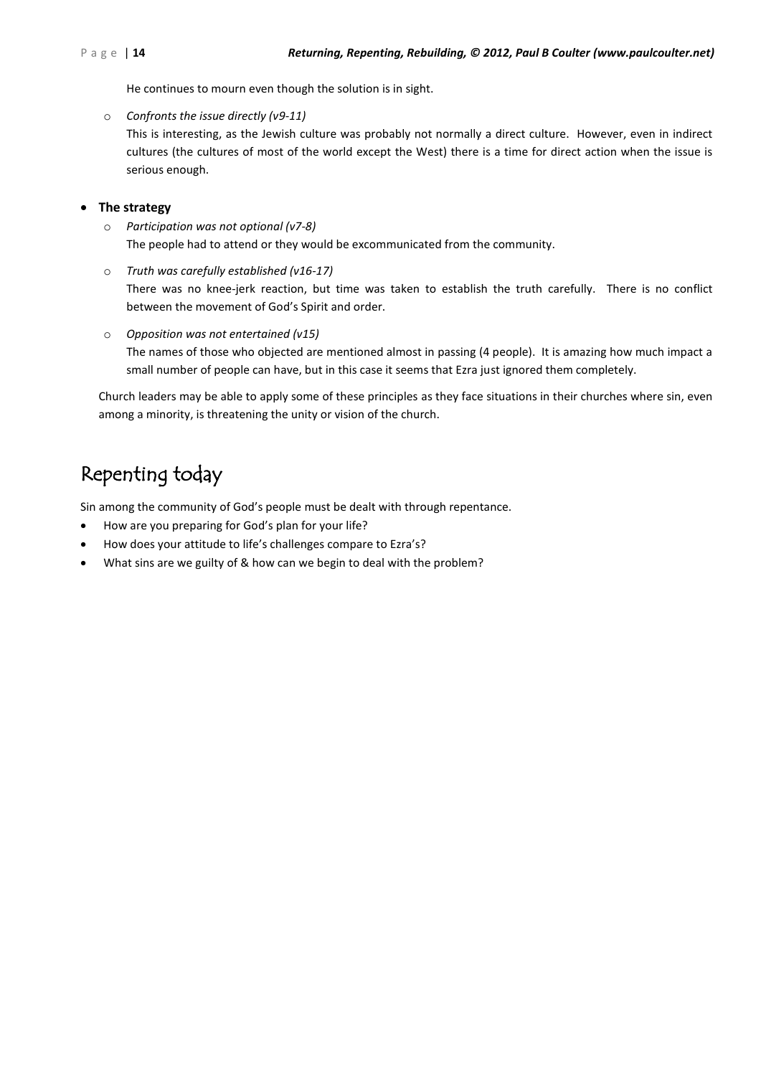He continues to mourn even though the solution is in sight.

o *Confronts the issue directly (v9-11)*

This is interesting, as the Jewish culture was probably not normally a direct culture. However, even in indirect cultures (the cultures of most of the world except the West) there is a time for direct action when the issue is serious enough.

### **The strategy**

- o *Participation was not optional (v7-8)* The people had to attend or they would be excommunicated from the community.
- o *Truth was carefully established (v16-17)* There was no knee-jerk reaction, but time was taken to establish the truth carefully. There is no conflict between the movement of God's Spirit and order.
- o *Opposition was not entertained (v15)* The names of those who objected are mentioned almost in passing (4 people). It is amazing how much impact a small number of people can have, but in this case it seems that Ezra just ignored them completely.

Church leaders may be able to apply some of these principles as they face situations in their churches where sin, even among a minority, is threatening the unity or vision of the church.

### Repenting today

Sin among the community of God's people must be dealt with through repentance.

- How are you preparing for God's plan for your life?
- How does your attitude to life's challenges compare to Ezra's?
- What sins are we guilty of & how can we begin to deal with the problem?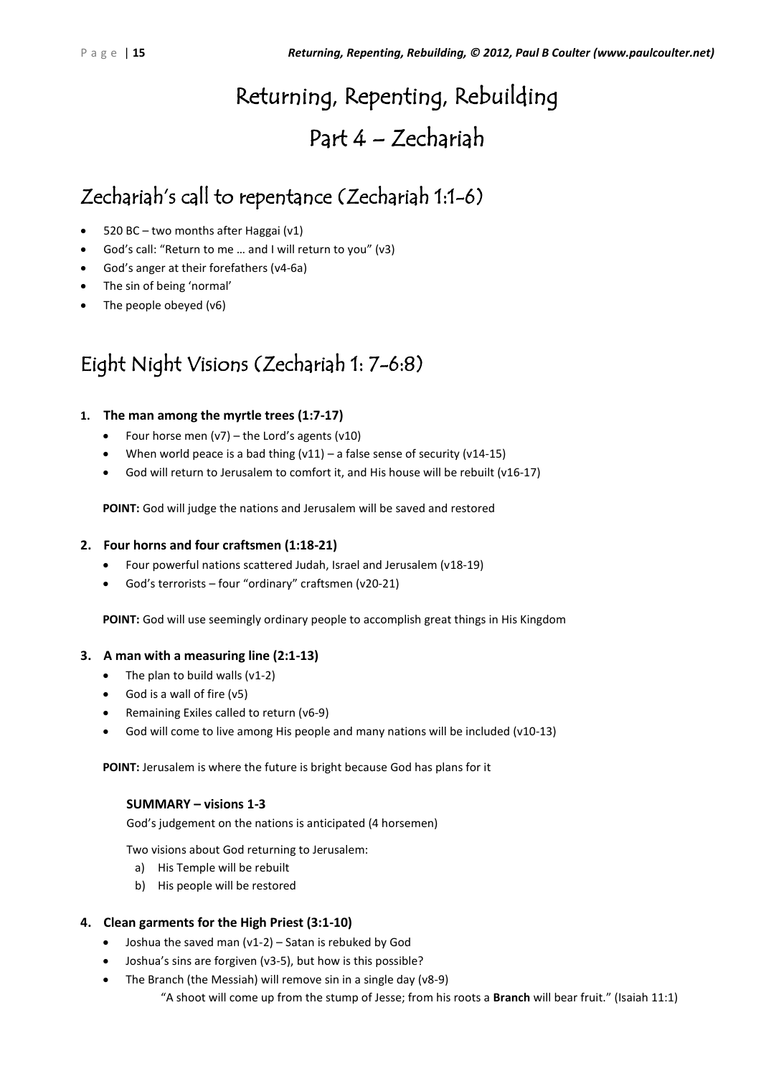# Returning, Repenting, Rebuilding

### Part 4 – Zechariah

### Zechariah's call to repentance (Zechariah 1:1-6)

- 520 BC two months after Haggai (v1)
- God's call: "Return to me … and I will return to you" (v3)
- God's anger at their forefathers (v4-6a)
- The sin of being 'normal'
- The people obeyed (v6)

### Eight Night Visions (Zechariah 1: 7-6:8)

### **1. The man among the myrtle trees (1:7-17)**

- Four horse men  $(v7)$  the Lord's agents  $(v10)$
- When world peace is a bad thing  $(v11)$  a false sense of security  $(v14-15)$
- God will return to Jerusalem to comfort it, and His house will be rebuilt (v16-17)

**POINT:** God will judge the nations and Jerusalem will be saved and restored

### **2. Four horns and four craftsmen (1:18-21)**

- Four powerful nations scattered Judah, Israel and Jerusalem (v18-19)
- God's terrorists four "ordinary" craftsmen (v20-21)

**POINT:** God will use seemingly ordinary people to accomplish great things in His Kingdom

### **3. A man with a measuring line (2:1-13)**

- The plan to build walls  $(v1-2)$
- God is a wall of fire  $(v5)$
- Remaining Exiles called to return (v6-9)
- God will come to live among His people and many nations will be included (v10-13)

**POINT:** Jerusalem is where the future is bright because God has plans for it

### **SUMMARY – visions 1-3**

God's judgement on the nations is anticipated (4 horsemen)

Two visions about God returning to Jerusalem:

- a) His Temple will be rebuilt
- b) His people will be restored

### **4. Clean garments for the High Priest (3:1-10)**

- $\bullet$  Joshua the saved man (v1-2) Satan is rebuked by God
- Joshua's sins are forgiven (v3-5), but how is this possible?
- The Branch (the Messiah) will remove sin in a single day (v8-9) "A shoot will come up from the stump of Jesse; from his roots a **Branch** will bear fruit." (Isaiah 11:1)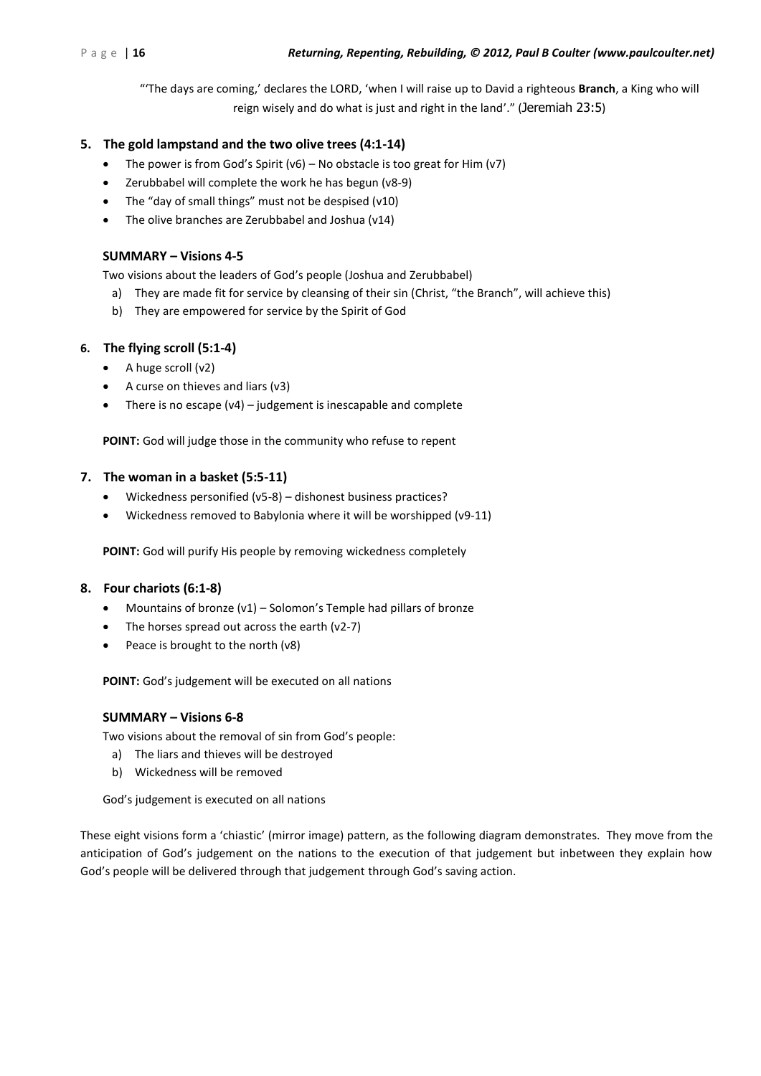"'The days are coming,' declares the LORD, 'when I will raise up to David a righteous **Branch**, a King who will reign wisely and do what is just and right in the land'." (Jeremiah 23:5)

### **5. The gold lampstand and the two olive trees (4:1-14)**

- The power is from God's Spirit ( $v6$ ) No obstacle is too great for Him ( $v7$ )
- Zerubbabel will complete the work he has begun (v8-9)
- The "day of small things" must not be despised (v10)
- The olive branches are Zerubbabel and Joshua (v14)

### **SUMMARY – Visions 4-5**

Two visions about the leaders of God's people (Joshua and Zerubbabel)

- a) They are made fit for service by cleansing of their sin (Christ, "the Branch", will achieve this)
- b) They are empowered for service by the Spirit of God

### **6. The flying scroll (5:1-4)**

- $\bullet$  A huge scroll (v2)
- A curse on thieves and liars (v3)
- There is no escape (v4) judgement is inescapable and complete

**POINT:** God will judge those in the community who refuse to repent

### **7. The woman in a basket (5:5-11)**

- Wickedness personified (v5-8) dishonest business practices?
- Wickedness removed to Babylonia where it will be worshipped (v9-11)

**POINT:** God will purify His people by removing wickedness completely

### **8. Four chariots (6:1-8)**

- Mountains of bronze (v1) Solomon's Temple had pillars of bronze
- The horses spread out across the earth (v2-7)
- Peace is brought to the north (v8)

**POINT:** God's judgement will be executed on all nations

### **SUMMARY – Visions 6-8**

Two visions about the removal of sin from God's people:

- a) The liars and thieves will be destroyed
- b) Wickedness will be removed

God's judgement is executed on all nations

These eight visions form a 'chiastic' (mirror image) pattern, as the following diagram demonstrates. They move from the anticipation of God's judgement on the nations to the execution of that judgement but inbetween they explain how God's people will be delivered through that judgement through God's saving action.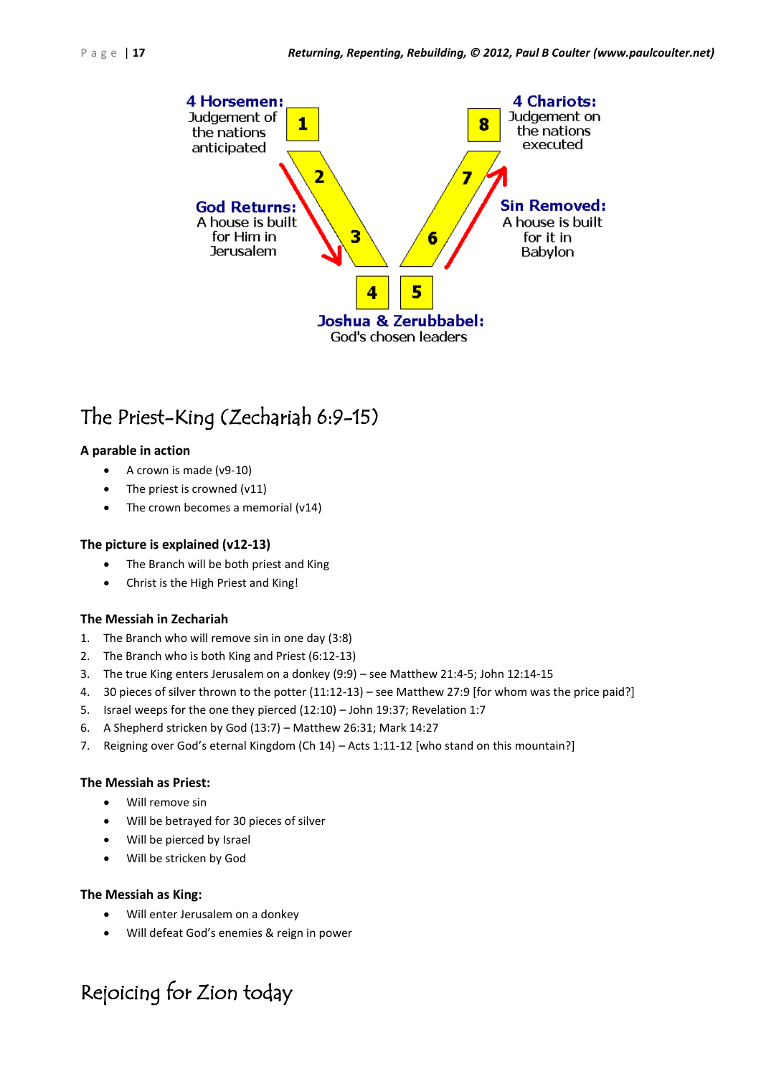

### The Priest-King (Zechariah 6:9-15)

### **A parable in action**

- A crown is made (v9-10)
- The priest is crowned (v11)
- The crown becomes a memorial (v14)

### **The picture is explained (v12-13)**

- The Branch will be both priest and King
- Christ is the High Priest and King!

### **The Messiah in Zechariah**

- 1. The Branch who will remove sin in one day (3:8)
- 2. The Branch who is both King and Priest (6:12-13)
- 3. The true King enters Jerusalem on a donkey (9:9) see Matthew 21:4-5; John 12:14-15
- 4. 30 pieces of silver thrown to the potter (11:12-13) see Matthew 27:9 [for whom was the price paid?]
- 5. Israel weeps for the one they pierced (12:10) John 19:37; Revelation 1:7
- 6. A Shepherd stricken by God (13:7) Matthew 26:31; Mark 14:27
- 7. Reigning over God's eternal Kingdom (Ch 14) Acts 1:11-12 [who stand on this mountain?]

### **The Messiah as Priest:**

- Will remove sin
- Will be betrayed for 30 pieces of silver
- Will be pierced by Israel
- Will be stricken by God

### **The Messiah as King:**

- Will enter Jerusalem on a donkey
- Will defeat God's enemies & reign in power

### Rejoicing for Zion today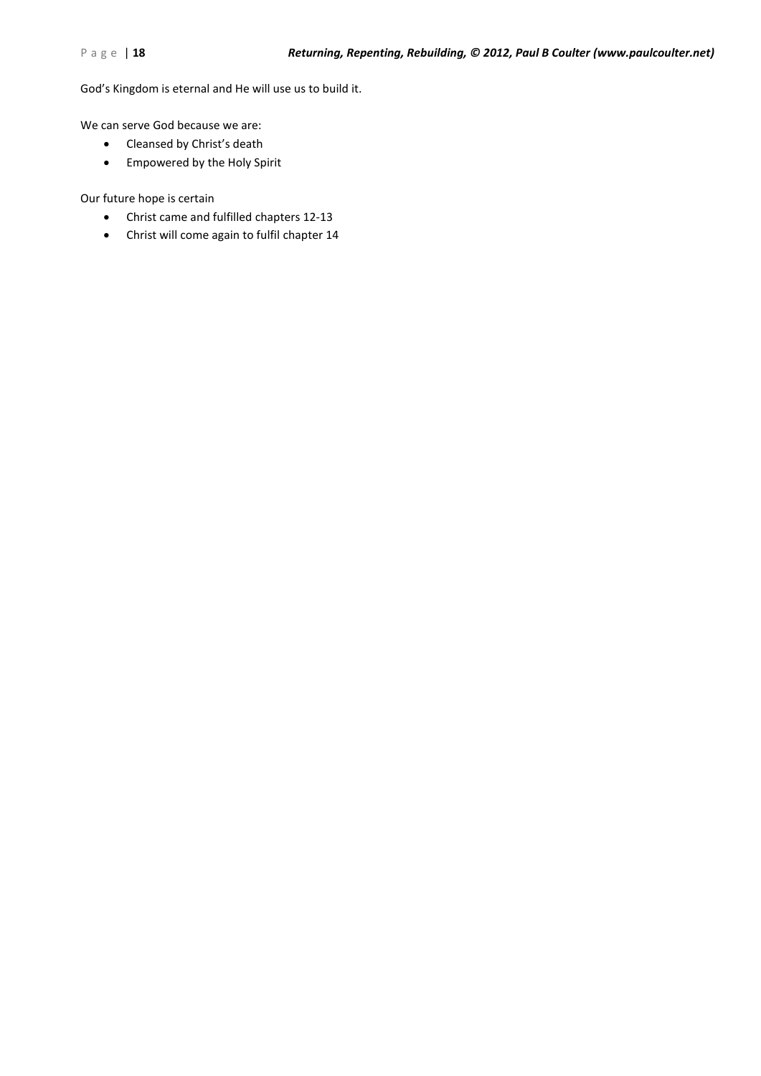God's Kingdom is eternal and He will use us to build it.

We can serve God because we are:

- Cleansed by Christ's death
- Empowered by the Holy Spirit

Our future hope is certain

- Christ came and fulfilled chapters 12-13
- Christ will come again to fulfil chapter 14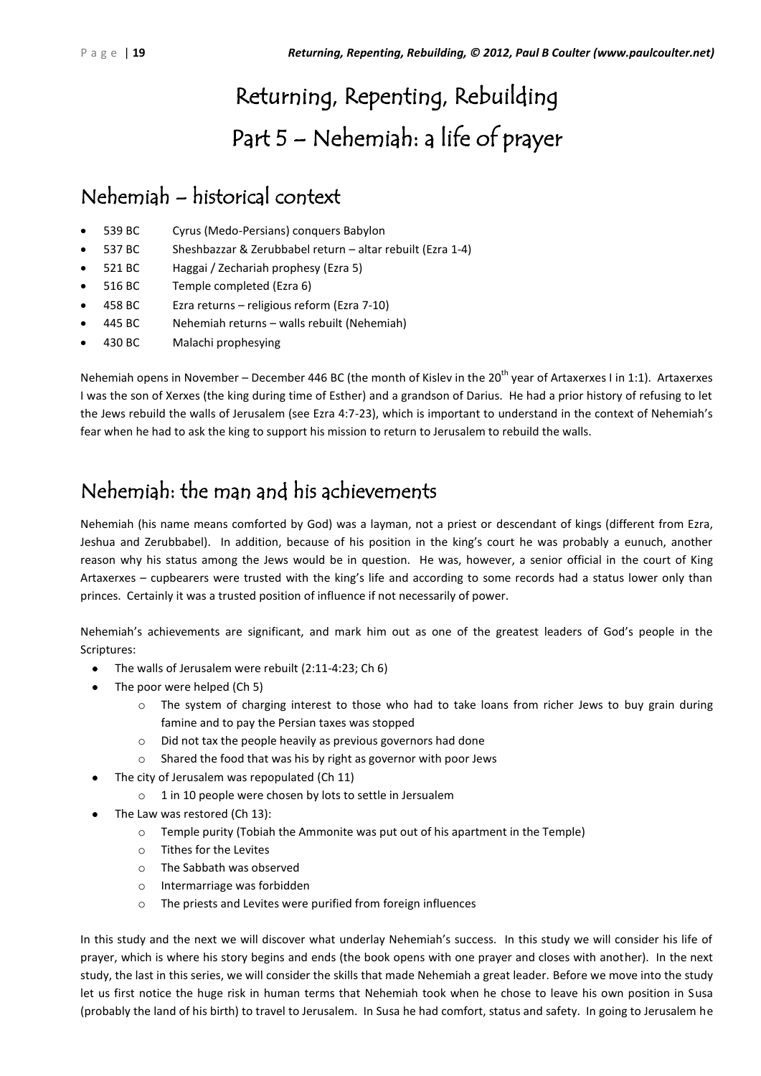# Returning, Repenting, Rebuilding Part 5 – Nehemiah: a life of prayer

### Nehemiah – historical context

- 539 BC Cyrus (Medo-Persians) conquers Babylon
- 537 BC Sheshbazzar & Zerubbabel return altar rebuilt (Ezra 1-4)
- 521 BC Haggai / Zechariah prophesy (Ezra 5)
- 516 BC Temple completed (Ezra 6)
- 458 BC Ezra returns religious reform (Ezra 7-10)
- 445 BC Nehemiah returns walls rebuilt (Nehemiah)
- 430 BC Malachi prophesying

Nehemiah opens in November – December 446 BC (the month of Kislev in the  $20^{th}$  year of Artaxerxes I in 1:1). Artaxerxes I was the son of Xerxes (the king during time of Esther) and a grandson of Darius. He had a prior history of refusing to let the Jews rebuild the walls of Jerusalem (see Ezra 4:7-23), which is important to understand in the context of Nehemiah's fear when he had to ask the king to support his mission to return to Jerusalem to rebuild the walls.

### Nehemiah: the man and his achievements

Nehemiah (his name means comforted by God) was a layman, not a priest or descendant of kings (different from Ezra, Jeshua and Zerubbabel). In addition, because of his position in the king's court he was probably a eunuch, another reason why his status among the Jews would be in question. He was, however, a senior official in the court of King Artaxerxes – cupbearers were trusted with the king's life and according to some records had a status lower only than princes. Certainly it was a trusted position of influence if not necessarily of power.

Nehemiah's achievements are significant, and mark him out as one of the greatest leaders of God's people in the Scriptures:

- The walls of Jerusalem were rebuilt (2:11-4:23; Ch 6)
- The poor were helped (Ch 5)
	- o The system of charging interest to those who had to take loans from richer Jews to buy grain during famine and to pay the Persian taxes was stopped
	- o Did not tax the people heavily as previous governors had done
	- o Shared the food that was his by right as governor with poor Jews
- The city of Jerusalem was repopulated (Ch 11)
	- o 1 in 10 people were chosen by lots to settle in Jersualem
- The Law was restored (Ch 13):
	- $\circ$  Temple purity (Tobiah the Ammonite was put out of his apartment in the Temple)
	- o Tithes for the Levites
	- o The Sabbath was observed
	- o Intermarriage was forbidden
	- o The priests and Levites were purified from foreign influences

In this study and the next we will discover what underlay Nehemiah's success. In this study we will consider his life of prayer, which is where his story begins and ends (the book opens with one prayer and closes with another). In the next study, the last in this series, we will consider the skills that made Nehemiah a great leader. Before we move into the study let us first notice the huge risk in human terms that Nehemiah took when he chose to leave his own position in Susa (probably the land of his birth) to travel to Jerusalem. In Susa he had comfort, status and safety. In going to Jerusalem he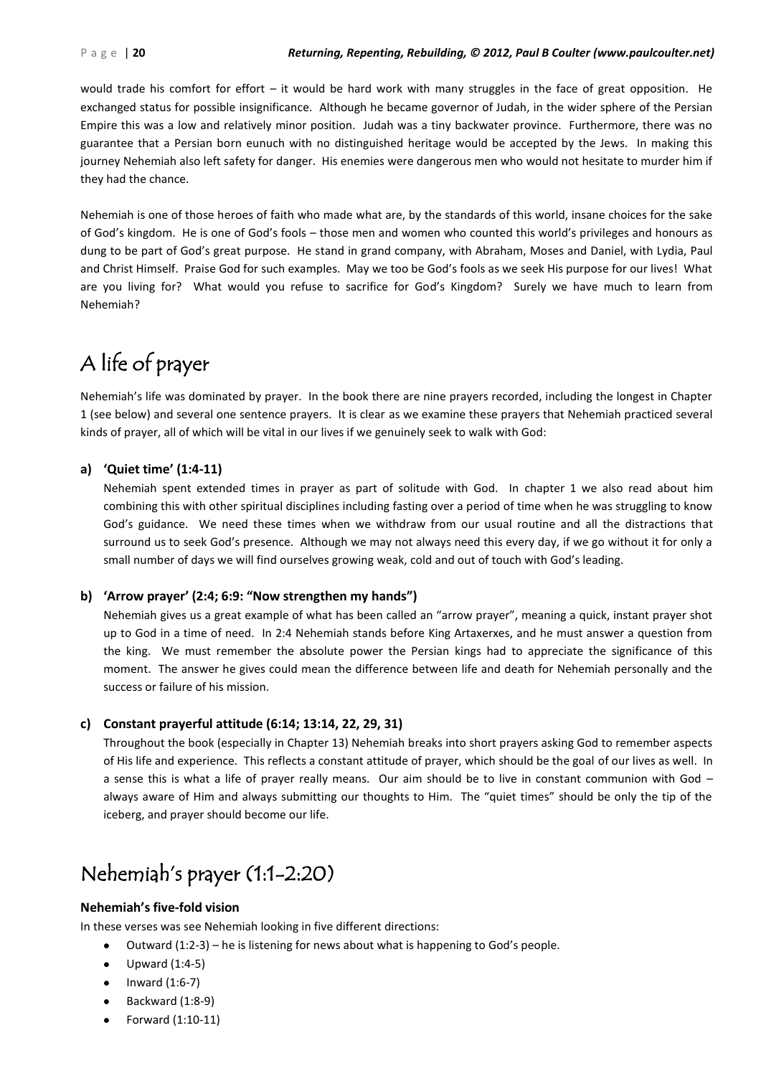would trade his comfort for effort – it would be hard work with many struggles in the face of great opposition. He exchanged status for possible insignificance. Although he became governor of Judah, in the wider sphere of the Persian Empire this was a low and relatively minor position. Judah was a tiny backwater province. Furthermore, there was no guarantee that a Persian born eunuch with no distinguished heritage would be accepted by the Jews. In making this journey Nehemiah also left safety for danger. His enemies were dangerous men who would not hesitate to murder him if they had the chance.

Nehemiah is one of those heroes of faith who made what are, by the standards of this world, insane choices for the sake of God's kingdom. He is one of God's fools – those men and women who counted this world's privileges and honours as dung to be part of God's great purpose. He stand in grand company, with Abraham, Moses and Daniel, with Lydia, Paul and Christ Himself. Praise God for such examples. May we too be God's fools as we seek His purpose for our lives! What are you living for? What would you refuse to sacrifice for God's Kingdom? Surely we have much to learn from Nehemiah?

### A life of prayer

Nehemiah's life was dominated by prayer. In the book there are nine prayers recorded, including the longest in Chapter 1 (see below) and several one sentence prayers. It is clear as we examine these prayers that Nehemiah practiced several kinds of prayer, all of which will be vital in our lives if we genuinely seek to walk with God:

### **a) 'Quiet time' (1:4-11)**

Nehemiah spent extended times in prayer as part of solitude with God. In chapter 1 we also read about him combining this with other spiritual disciplines including fasting over a period of time when he was struggling to know God's guidance. We need these times when we withdraw from our usual routine and all the distractions that surround us to seek God's presence. Although we may not always need this every day, if we go without it for only a small number of days we will find ourselves growing weak, cold and out of touch with God's leading.

### **b) 'Arrow prayer' (2:4; 6:9: "Now strengthen my hands")**

Nehemiah gives us a great example of what has been called an "arrow prayer", meaning a quick, instant prayer shot up to God in a time of need. In 2:4 Nehemiah stands before King Artaxerxes, and he must answer a question from the king. We must remember the absolute power the Persian kings had to appreciate the significance of this moment. The answer he gives could mean the difference between life and death for Nehemiah personally and the success or failure of his mission.

### **c) Constant prayerful attitude (6:14; 13:14, 22, 29, 31)**

Throughout the book (especially in Chapter 13) Nehemiah breaks into short prayers asking God to remember aspects of His life and experience. This reflects a constant attitude of prayer, which should be the goal of our lives as well. In a sense this is what a life of prayer really means. Our aim should be to live in constant communion with God – always aware of Him and always submitting our thoughts to Him. The "quiet times" should be only the tip of the iceberg, and prayer should become our life.

### Nehemiah's prayer (1:1-2:20)

### **Nehemiah's five-fold vision**

In these verses was see Nehemiah looking in five different directions:

- $\bullet$  Outward (1:2-3) he is listening for news about what is happening to God's people.
- Upward (1:4-5)
- Inward (1:6-7)
- Backward (1:8-9)
- Forward (1:10-11)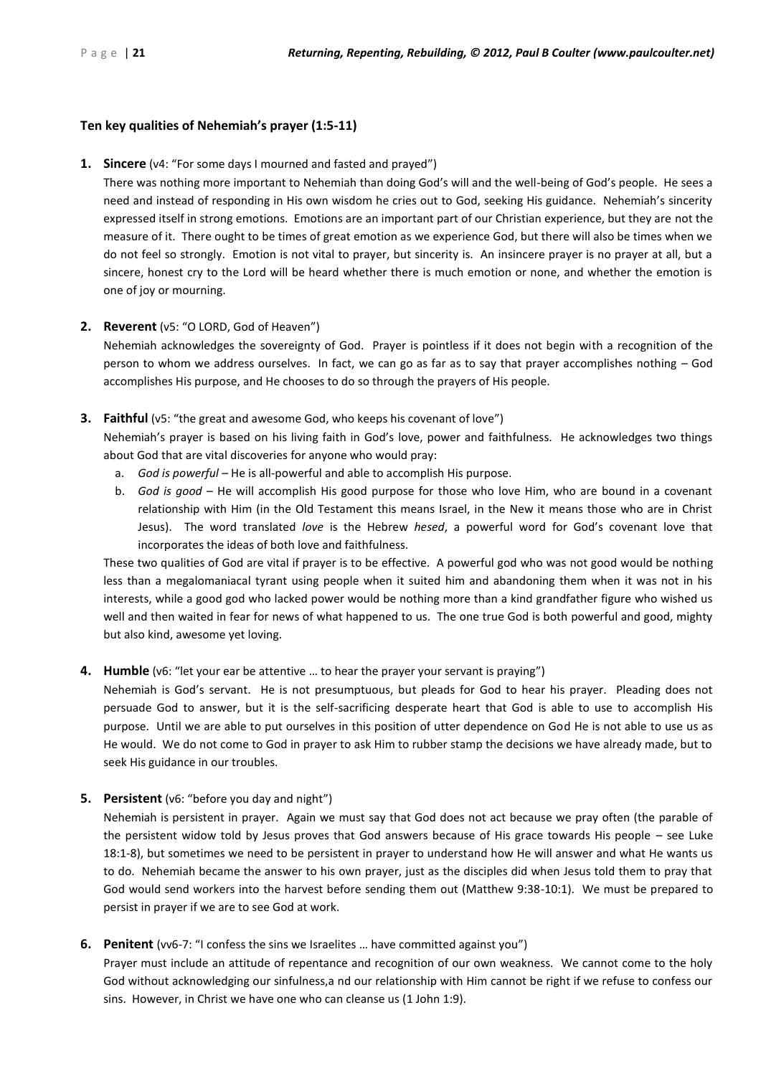### **Ten key qualities of Nehemiah's prayer (1:5-11)**

**1. Sincere** (v4: "For some days I mourned and fasted and prayed")

There was nothing more important to Nehemiah than doing God's will and the well-being of God's people. He sees a need and instead of responding in His own wisdom he cries out to God, seeking His guidance. Nehemiah's sincerity expressed itself in strong emotions. Emotions are an important part of our Christian experience, but they are not the measure of it. There ought to be times of great emotion as we experience God, but there will also be times when we do not feel so strongly. Emotion is not vital to prayer, but sincerity is. An insincere prayer is no prayer at all, but a sincere, honest cry to the Lord will be heard whether there is much emotion or none, and whether the emotion is one of joy or mourning.

### **2. Reverent** (v5: "O LORD, God of Heaven")

Nehemiah acknowledges the sovereignty of God. Prayer is pointless if it does not begin with a recognition of the person to whom we address ourselves. In fact, we can go as far as to say that prayer accomplishes nothing – God accomplishes His purpose, and He chooses to do so through the prayers of His people.

**3. Faithful** (v5: "the great and awesome God, who keeps his covenant of love")

Nehemiah's prayer is based on his living faith in God's love, power and faithfulness. He acknowledges two things about God that are vital discoveries for anyone who would pray:

- a. *God is powerful*  He is all-powerful and able to accomplish His purpose.
- b. *God is good*  He will accomplish His good purpose for those who love Him, who are bound in a covenant relationship with Him (in the Old Testament this means Israel, in the New it means those who are in Christ Jesus). The word translated *love* is the Hebrew *hesed*, a powerful word for God's covenant love that incorporates the ideas of both love and faithfulness.

These two qualities of God are vital if prayer is to be effective. A powerful god who was not good would be nothing less than a megalomaniacal tyrant using people when it suited him and abandoning them when it was not in his interests, while a good god who lacked power would be nothing more than a kind grandfather figure who wished us well and then waited in fear for news of what happened to us. The one true God is both powerful and good, mighty but also kind, awesome yet loving.

### **4. Humble** (v6: "let your ear be attentive … to hear the prayer your servant is praying")

Nehemiah is God's servant. He is not presumptuous, but pleads for God to hear his prayer. Pleading does not persuade God to answer, but it is the self-sacrificing desperate heart that God is able to use to accomplish His purpose. Until we are able to put ourselves in this position of utter dependence on God He is not able to use us as He would. We do not come to God in prayer to ask Him to rubber stamp the decisions we have already made, but to seek His guidance in our troubles.

**5. Persistent** (v6: "before you day and night")

Nehemiah is persistent in prayer. Again we must say that God does not act because we pray often (the parable of the persistent widow told by Jesus proves that God answers because of His grace towards His people – see Luke 18:1-8), but sometimes we need to be persistent in prayer to understand how He will answer and what He wants us to do. Nehemiah became the answer to his own prayer, just as the disciples did when Jesus told them to pray that God would send workers into the harvest before sending them out (Matthew 9:38-10:1). We must be prepared to persist in prayer if we are to see God at work.

### **6. Penitent** (vv6-7: "I confess the sins we Israelites … have committed against you")

Prayer must include an attitude of repentance and recognition of our own weakness. We cannot come to the holy God without acknowledging our sinfulness,a nd our relationship with Him cannot be right if we refuse to confess our sins. However, in Christ we have one who can cleanse us (1 John 1:9).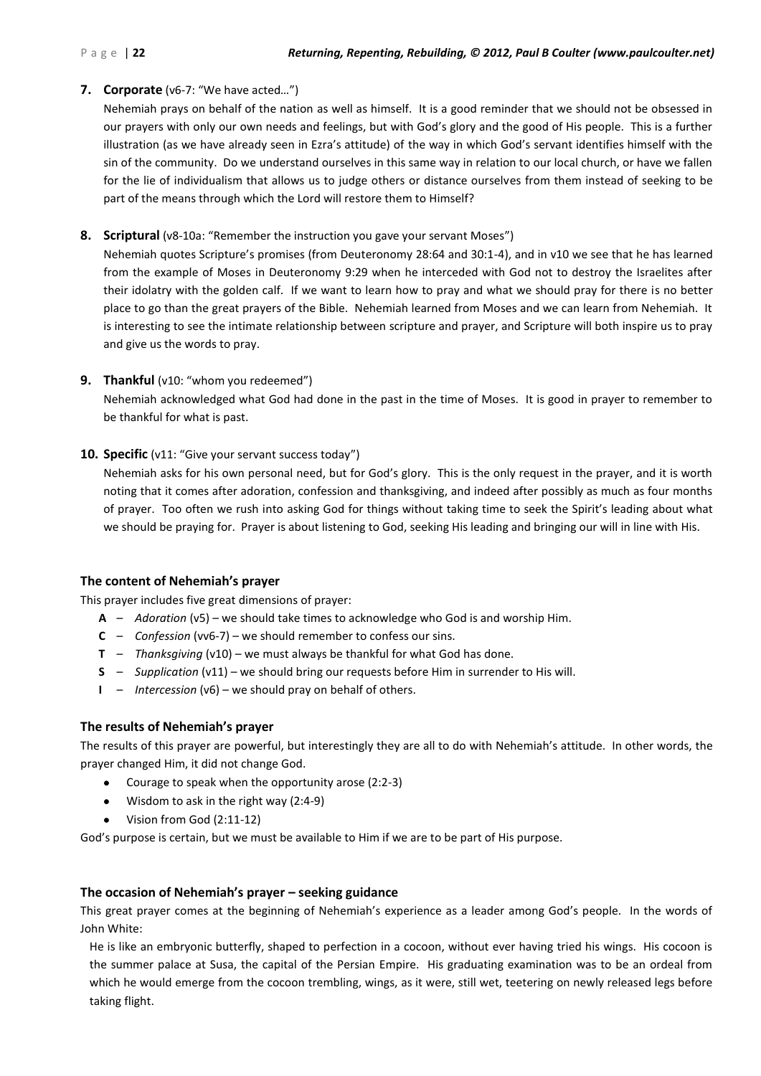### **7. Corporate** (v6-7: "We have acted*…*")

Nehemiah prays on behalf of the nation as well as himself. It is a good reminder that we should not be obsessed in our prayers with only our own needs and feelings, but with God's glory and the good of His people. This is a further illustration (as we have already seen in Ezra's attitude) of the way in which God's servant identifies himself with the sin of the community. Do we understand ourselves in this same way in relation to our local church, or have we fallen for the lie of individualism that allows us to judge others or distance ourselves from them instead of seeking to be part of the means through which the Lord will restore them to Himself?

### **8. Scriptural** (v8-10a: "Remember the instruction you gave your servant Moses")

Nehemiah quotes Scripture's promises (from Deuteronomy 28:64 and 30:1-4), and in v10 we see that he has learned from the example of Moses in Deuteronomy 9:29 when he interceded with God not to destroy the Israelites after their idolatry with the golden calf. If we want to learn how to pray and what we should pray for there is no better place to go than the great prayers of the Bible. Nehemiah learned from Moses and we can learn from Nehemiah. It is interesting to see the intimate relationship between scripture and prayer, and Scripture will both inspire us to pray and give us the words to pray.

### **9. Thankful** (v10: "whom you redeemed")

Nehemiah acknowledged what God had done in the past in the time of Moses. It is good in prayer to remember to be thankful for what is past.

### **10. Specific** (v11: "Give your servant success today")

Nehemiah asks for his own personal need, but for God's glory. This is the only request in the prayer, and it is worth noting that it comes after adoration, confession and thanksgiving, and indeed after possibly as much as four months of prayer. Too often we rush into asking God for things without taking time to seek the Spirit's leading about what we should be praying for. Prayer is about listening to God, seeking His leading and bringing our will in line with His.

#### **The content of Nehemiah's prayer**

This prayer includes five great dimensions of prayer:

- **A** *Adoration* (v5) we should take times to acknowledge who God is and worship Him.
- **C** *Confession* (vv6-7) we should remember to confess our sins.
- **T** *Thanksgiving* (v10) we must always be thankful for what God has done.
- **S** *Supplication* (v11) we should bring our requests before Him in surrender to His will.
- **I** *Intercession* (v6) we should pray on behalf of others.

### **The results of Nehemiah's prayer**

The results of this prayer are powerful, but interestingly they are all to do with Nehemiah's attitude. In other words, the prayer changed Him, it did not change God.

- Courage to speak when the opportunity arose (2:2-3)
- Wisdom to ask in the right way (2:4-9)
- Vision from God (2:11-12)

God's purpose is certain, but we must be available to Him if we are to be part of His purpose.

#### **The occasion of Nehemiah's prayer – seeking guidance**

This great prayer comes at the beginning of Nehemiah's experience as a leader among God's people. In the words of John White:

He is like an embryonic butterfly, shaped to perfection in a cocoon, without ever having tried his wings. His cocoon is the summer palace at Susa, the capital of the Persian Empire. His graduating examination was to be an ordeal from which he would emerge from the cocoon trembling, wings, as it were, still wet, teetering on newly released legs before taking flight.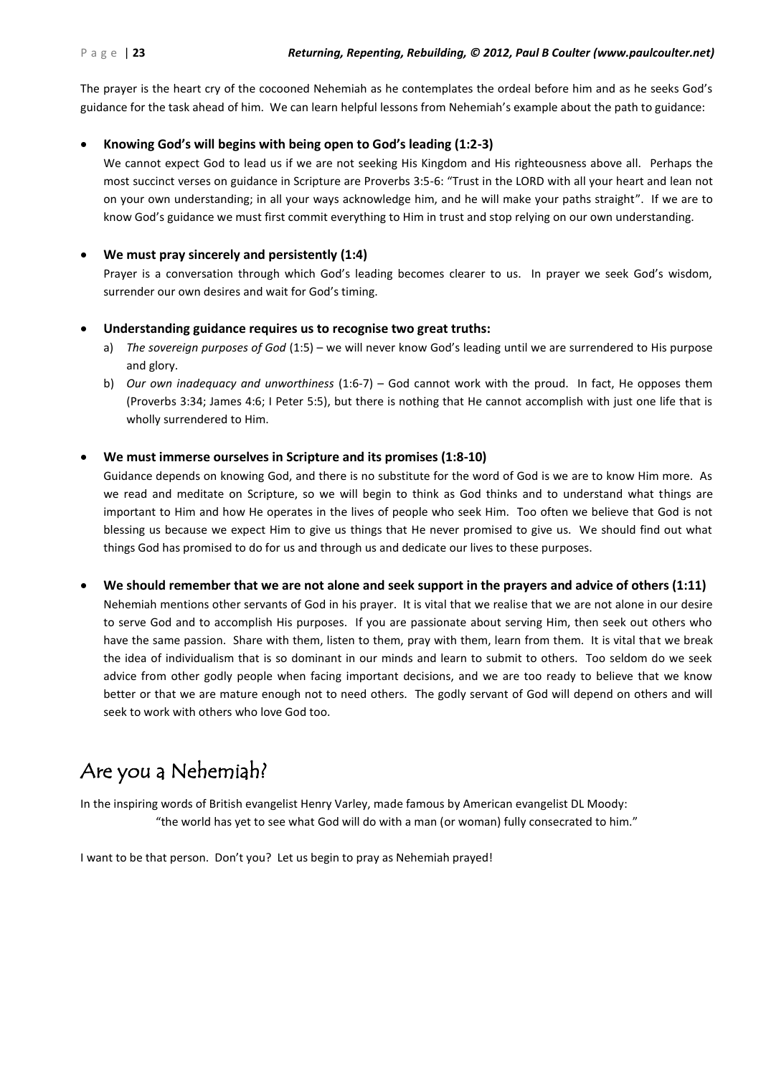The prayer is the heart cry of the cocooned Nehemiah as he contemplates the ordeal before him and as he seeks God's guidance for the task ahead of him. We can learn helpful lessons from Nehemiah's example about the path to guidance:

### **Knowing God's will begins with being open to God's leading (1:2-3)**

We cannot expect God to lead us if we are not seeking His Kingdom and His righteousness above all. Perhaps the most succinct verses on guidance in Scripture are Proverbs 3:5-6: "Trust in the LORD with all your heart and lean not on your own understanding; in all your ways acknowledge him, and he will make your paths straight". If we are to know God's guidance we must first commit everything to Him in trust and stop relying on our own understanding.

### **We must pray sincerely and persistently (1:4)**

Prayer is a conversation through which God's leading becomes clearer to us. In prayer we seek God's wisdom, surrender our own desires and wait for God's timing.

#### **Understanding guidance requires us to recognise two great truths:**

- a) *The sovereign purposes of God* (1:5) we will never know God's leading until we are surrendered to His purpose and glory.
- b) *Our own inadequacy and unworthiness* (1:6-7) God cannot work with the proud. In fact, He opposes them (Proverbs 3:34; James 4:6; I Peter 5:5), but there is nothing that He cannot accomplish with just one life that is wholly surrendered to Him.

### **We must immerse ourselves in Scripture and its promises (1:8-10)**

Guidance depends on knowing God, and there is no substitute for the word of God is we are to know Him more. As we read and meditate on Scripture, so we will begin to think as God thinks and to understand what things are important to Him and how He operates in the lives of people who seek Him. Too often we believe that God is not blessing us because we expect Him to give us things that He never promised to give us. We should find out what things God has promised to do for us and through us and dedicate our lives to these purposes.

**We should remember that we are not alone and seek support in the prayers and advice of others (1:11)**

Nehemiah mentions other servants of God in his prayer. It is vital that we realise that we are not alone in our desire to serve God and to accomplish His purposes. If you are passionate about serving Him, then seek out others who have the same passion. Share with them, listen to them, pray with them, learn from them. It is vital that we break the idea of individualism that is so dominant in our minds and learn to submit to others. Too seldom do we seek advice from other godly people when facing important decisions, and we are too ready to believe that we know better or that we are mature enough not to need others. The godly servant of God will depend on others and will seek to work with others who love God too.

### Are you a Nehemiah?

In the inspiring words of British evangelist Henry Varley, made famous by American evangelist DL Moody: "the world has yet to see what God will do with a man (or woman) fully consecrated to him."

I want to be that person. Don't you? Let us begin to pray as Nehemiah prayed!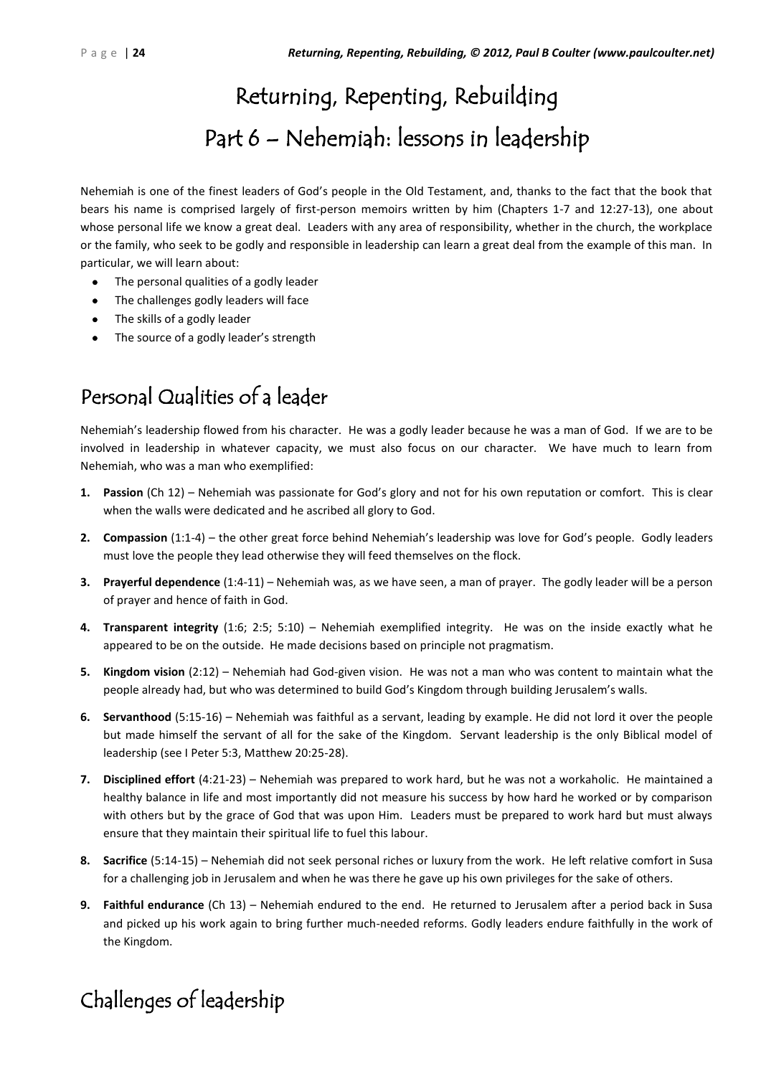# Returning, Repenting, Rebuilding Part 6 – Nehemiah: lessons in leadership

Nehemiah is one of the finest leaders of God's people in the Old Testament, and, thanks to the fact that the book that bears his name is comprised largely of first-person memoirs written by him (Chapters 1-7 and 12:27-13), one about whose personal life we know a great deal. Leaders with any area of responsibility, whether in the church, the workplace or the family, who seek to be godly and responsible in leadership can learn a great deal from the example of this man. In particular, we will learn about:

- The personal qualities of a godly leader
- The challenges godly leaders will face
- The skills of a godly leader
- The source of a godly leader's strength

### Personal Qualities of a leader

Nehemiah's leadership flowed from his character. He was a godly leader because he was a man of God. If we are to be involved in leadership in whatever capacity, we must also focus on our character. We have much to learn from Nehemiah, who was a man who exemplified:

- **1. Passion** (Ch 12) Nehemiah was passionate for God's glory and not for his own reputation or comfort. This is clear when the walls were dedicated and he ascribed all glory to God.
- **2. Compassion** (1:1-4) the other great force behind Nehemiah's leadership was love for God's people. Godly leaders must love the people they lead otherwise they will feed themselves on the flock.
- **3. Prayerful dependence** (1:4-11) Nehemiah was, as we have seen, a man of prayer. The godly leader will be a person of prayer and hence of faith in God.
- **4. Transparent integrity** (1:6; 2:5; 5:10) Nehemiah exemplified integrity. He was on the inside exactly what he appeared to be on the outside. He made decisions based on principle not pragmatism.
- **5. Kingdom vision** (2:12) Nehemiah had God-given vision. He was not a man who was content to maintain what the people already had, but who was determined to build God's Kingdom through building Jerusalem's walls.
- **6. Servanthood** (5:15-16) Nehemiah was faithful as a servant, leading by example. He did not lord it over the people but made himself the servant of all for the sake of the Kingdom. Servant leadership is the only Biblical model of leadership (see I Peter 5:3, Matthew 20:25-28).
- **7. Disciplined effort** (4:21-23) Nehemiah was prepared to work hard, but he was not a workaholic. He maintained a healthy balance in life and most importantly did not measure his success by how hard he worked or by comparison with others but by the grace of God that was upon Him. Leaders must be prepared to work hard but must always ensure that they maintain their spiritual life to fuel this labour.
- **8. Sacrifice** (5:14-15) Nehemiah did not seek personal riches or luxury from the work. He left relative comfort in Susa for a challenging job in Jerusalem and when he was there he gave up his own privileges for the sake of others.
- **9. Faithful endurance** (Ch 13) Nehemiah endured to the end. He returned to Jerusalem after a period back in Susa and picked up his work again to bring further much-needed reforms. Godly leaders endure faithfully in the work of the Kingdom.

### Challenges of leadership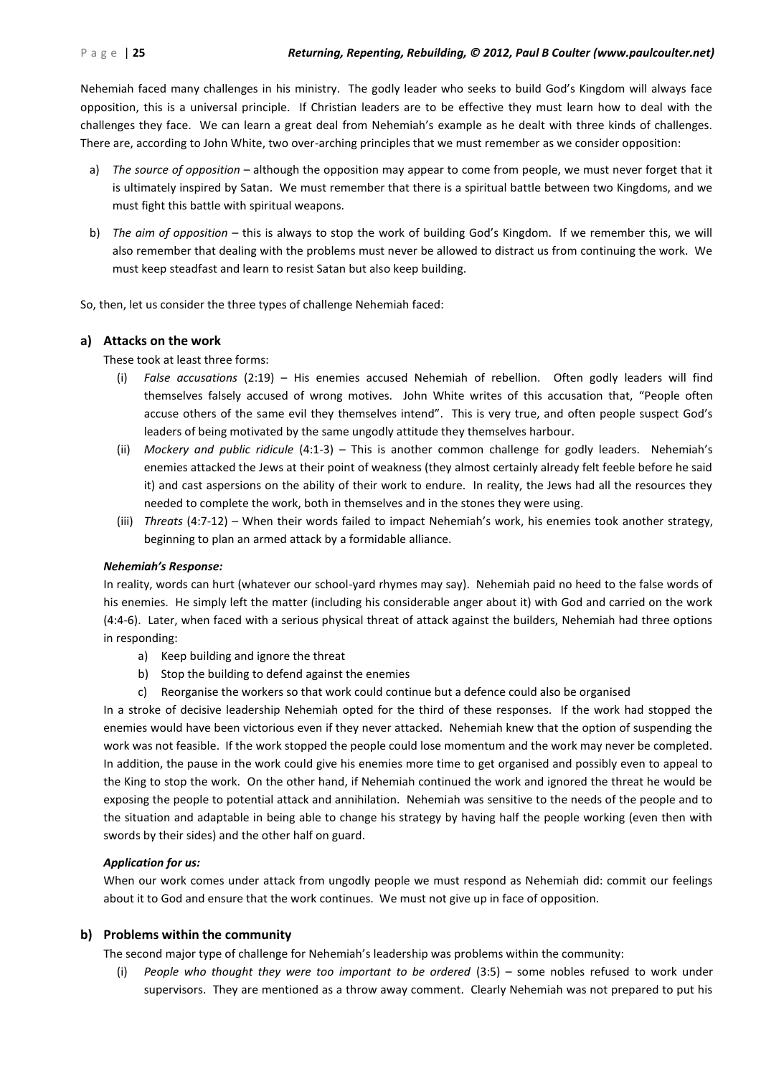Nehemiah faced many challenges in his ministry. The godly leader who seeks to build God's Kingdom will always face opposition, this is a universal principle. If Christian leaders are to be effective they must learn how to deal with the challenges they face. We can learn a great deal from Nehemiah's example as he dealt with three kinds of challenges. There are, according to John White, two over-arching principles that we must remember as we consider opposition:

- a) *The source of opposition* although the opposition may appear to come from people, we must never forget that it is ultimately inspired by Satan. We must remember that there is a spiritual battle between two Kingdoms, and we must fight this battle with spiritual weapons.
- b) *The aim of opposition* this is always to stop the work of building God's Kingdom. If we remember this, we will also remember that dealing with the problems must never be allowed to distract us from continuing the work. We must keep steadfast and learn to resist Satan but also keep building.

So, then, let us consider the three types of challenge Nehemiah faced:

### **a) Attacks on the work**

These took at least three forms:

- (i) *False accusations* (2:19) His enemies accused Nehemiah of rebellion. Often godly leaders will find themselves falsely accused of wrong motives. John White writes of this accusation that, "People often accuse others of the same evil they themselves intend". This is very true, and often people suspect God's leaders of being motivated by the same ungodly attitude they themselves harbour.
- (ii) *Mockery and public ridicule* (4:1-3) This is another common challenge for godly leaders. Nehemiah's enemies attacked the Jews at their point of weakness (they almost certainly already felt feeble before he said it) and cast aspersions on the ability of their work to endure. In reality, the Jews had all the resources they needed to complete the work, both in themselves and in the stones they were using.
- (iii) *Threats* (4:7-12) When their words failed to impact Nehemiah's work, his enemies took another strategy, beginning to plan an armed attack by a formidable alliance.

#### *Nehemiah's Response:*

In reality, words can hurt (whatever our school-yard rhymes may say). Nehemiah paid no heed to the false words of his enemies. He simply left the matter (including his considerable anger about it) with God and carried on the work (4:4-6). Later, when faced with a serious physical threat of attack against the builders, Nehemiah had three options in responding:

- a) Keep building and ignore the threat
- b) Stop the building to defend against the enemies
- c) Reorganise the workers so that work could continue but a defence could also be organised

In a stroke of decisive leadership Nehemiah opted for the third of these responses. If the work had stopped the enemies would have been victorious even if they never attacked. Nehemiah knew that the option of suspending the work was not feasible. If the work stopped the people could lose momentum and the work may never be completed. In addition, the pause in the work could give his enemies more time to get organised and possibly even to appeal to the King to stop the work. On the other hand, if Nehemiah continued the work and ignored the threat he would be exposing the people to potential attack and annihilation. Nehemiah was sensitive to the needs of the people and to the situation and adaptable in being able to change his strategy by having half the people working (even then with swords by their sides) and the other half on guard.

### *Application for us:*

When our work comes under attack from ungodly people we must respond as Nehemiah did: commit our feelings about it to God and ensure that the work continues. We must not give up in face of opposition.

### **b) Problems within the community**

The second major type of challenge for Nehemiah's leadership was problems within the community:

(i) *People who thought they were too important to be ordered* (3:5) – some nobles refused to work under supervisors. They are mentioned as a throw away comment. Clearly Nehemiah was not prepared to put his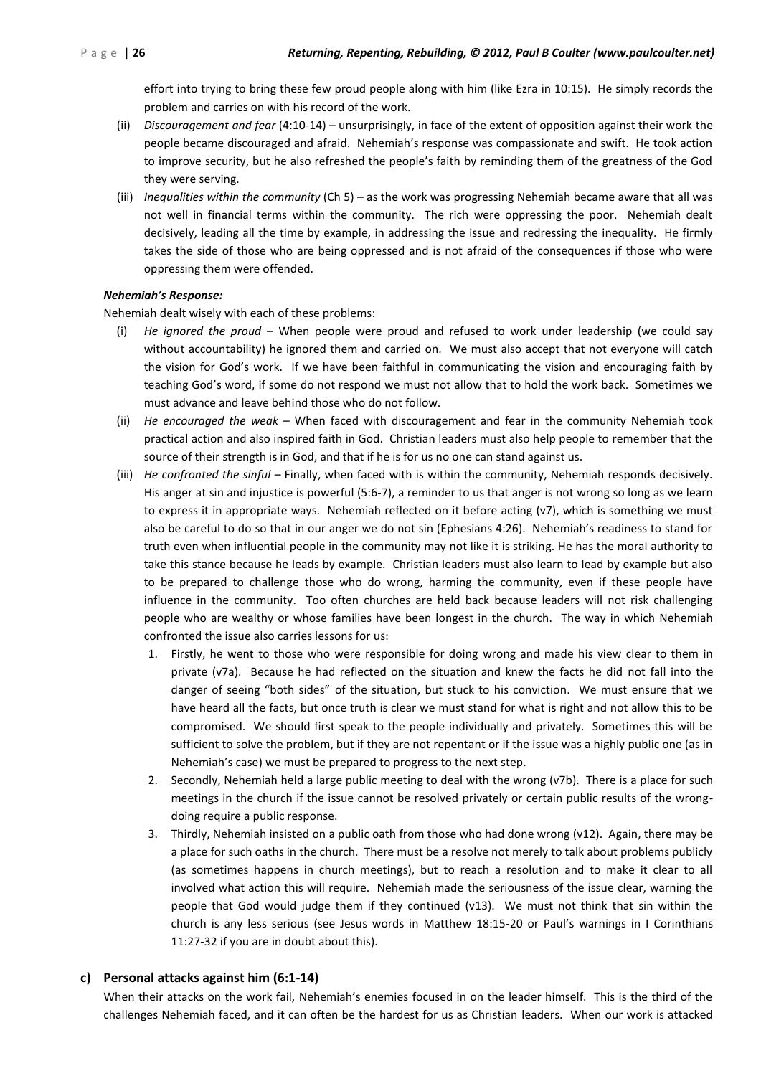effort into trying to bring these few proud people along with him (like Ezra in 10:15). He simply records the problem and carries on with his record of the work.

- (ii) *Discouragement and fear* (4:10-14) unsurprisingly, in face of the extent of opposition against their work the people became discouraged and afraid. Nehemiah's response was compassionate and swift. He took action to improve security, but he also refreshed the people's faith by reminding them of the greatness of the God they were serving.
- (iii) *Inequalities within the community* (Ch 5) as the work was progressing Nehemiah became aware that all was not well in financial terms within the community. The rich were oppressing the poor. Nehemiah dealt decisively, leading all the time by example, in addressing the issue and redressing the inequality. He firmly takes the side of those who are being oppressed and is not afraid of the consequences if those who were oppressing them were offended.

#### *Nehemiah's Response:*

Nehemiah dealt wisely with each of these problems:

- (i) *He ignored the proud* When people were proud and refused to work under leadership (we could say without accountability) he ignored them and carried on. We must also accept that not everyone will catch the vision for God's work. If we have been faithful in communicating the vision and encouraging faith by teaching God's word, if some do not respond we must not allow that to hold the work back. Sometimes we must advance and leave behind those who do not follow.
- (ii) *He encouraged the weak* When faced with discouragement and fear in the community Nehemiah took practical action and also inspired faith in God. Christian leaders must also help people to remember that the source of their strength is in God, and that if he is for us no one can stand against us.
- (iii) *He confronted the sinful*  Finally, when faced with is within the community, Nehemiah responds decisively. His anger at sin and injustice is powerful (5:6-7), a reminder to us that anger is not wrong so long as we learn to express it in appropriate ways. Nehemiah reflected on it before acting (v7), which is something we must also be careful to do so that in our anger we do not sin (Ephesians 4:26). Nehemiah's readiness to stand for truth even when influential people in the community may not like it is striking. He has the moral authority to take this stance because he leads by example. Christian leaders must also learn to lead by example but also to be prepared to challenge those who do wrong, harming the community, even if these people have influence in the community. Too often churches are held back because leaders will not risk challenging people who are wealthy or whose families have been longest in the church. The way in which Nehemiah confronted the issue also carries lessons for us:
	- 1. Firstly, he went to those who were responsible for doing wrong and made his view clear to them in private (v7a). Because he had reflected on the situation and knew the facts he did not fall into the danger of seeing "both sides" of the situation, but stuck to his conviction. We must ensure that we have heard all the facts, but once truth is clear we must stand for what is right and not allow this to be compromised. We should first speak to the people individually and privately. Sometimes this will be sufficient to solve the problem, but if they are not repentant or if the issue was a highly public one (as in Nehemiah's case) we must be prepared to progress to the next step.
	- 2. Secondly, Nehemiah held a large public meeting to deal with the wrong (v7b). There is a place for such meetings in the church if the issue cannot be resolved privately or certain public results of the wrongdoing require a public response.
	- 3. Thirdly, Nehemiah insisted on a public oath from those who had done wrong (v12). Again, there may be a place for such oaths in the church. There must be a resolve not merely to talk about problems publicly (as sometimes happens in church meetings), but to reach a resolution and to make it clear to all involved what action this will require. Nehemiah made the seriousness of the issue clear, warning the people that God would judge them if they continued (v13). We must not think that sin within the church is any less serious (see Jesus words in Matthew 18:15-20 or Paul's warnings in I Corinthians 11:27-32 if you are in doubt about this).

### **c) Personal attacks against him (6:1-14)**

When their attacks on the work fail, Nehemiah's enemies focused in on the leader himself. This is the third of the challenges Nehemiah faced, and it can often be the hardest for us as Christian leaders. When our work is attacked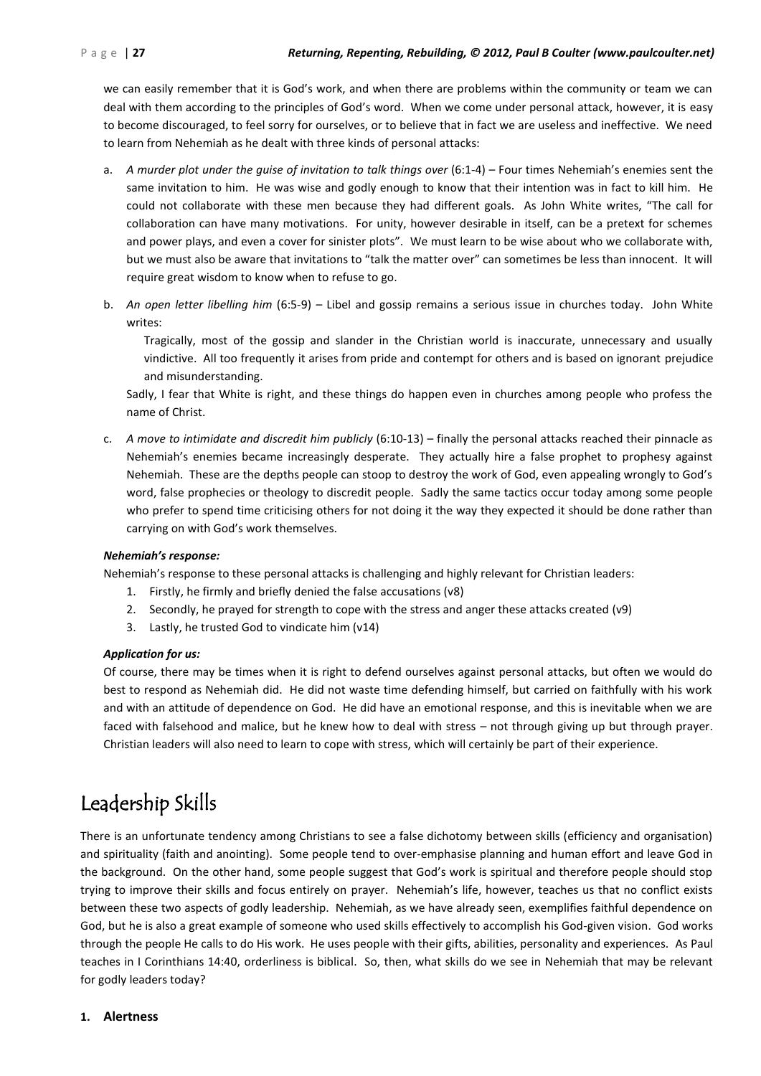we can easily remember that it is God's work, and when there are problems within the community or team we can deal with them according to the principles of God's word. When we come under personal attack, however, it is easy to become discouraged, to feel sorry for ourselves, or to believe that in fact we are useless and ineffective. We need to learn from Nehemiah as he dealt with three kinds of personal attacks:

- a. *A murder plot under the guise of invitation to talk things over* (6:1-4) Four times Nehemiah's enemies sent the same invitation to him. He was wise and godly enough to know that their intention was in fact to kill him. He could not collaborate with these men because they had different goals. As John White writes, "The call for collaboration can have many motivations. For unity, however desirable in itself, can be a pretext for schemes and power plays, and even a cover for sinister plots". We must learn to be wise about who we collaborate with, but we must also be aware that invitations to "talk the matter over" can sometimes be less than innocent. It will require great wisdom to know when to refuse to go.
- b. *An open letter libelling him* (6:5-9) Libel and gossip remains a serious issue in churches today. John White writes:

Tragically, most of the gossip and slander in the Christian world is inaccurate, unnecessary and usually vindictive. All too frequently it arises from pride and contempt for others and is based on ignorant prejudice and misunderstanding.

Sadly, I fear that White is right, and these things do happen even in churches among people who profess the name of Christ.

c. *A move to intimidate and discredit him publicly* (6:10-13) – finally the personal attacks reached their pinnacle as Nehemiah's enemies became increasingly desperate. They actually hire a false prophet to prophesy against Nehemiah. These are the depths people can stoop to destroy the work of God, even appealing wrongly to God's word, false prophecies or theology to discredit people. Sadly the same tactics occur today among some people who prefer to spend time criticising others for not doing it the way they expected it should be done rather than carrying on with God's work themselves.

#### *Nehemiah's response:*

Nehemiah's response to these personal attacks is challenging and highly relevant for Christian leaders:

- 1. Firstly, he firmly and briefly denied the false accusations (v8)
- 2. Secondly, he prayed for strength to cope with the stress and anger these attacks created (v9)
- 3. Lastly, he trusted God to vindicate him (v14)

#### *Application for us:*

Of course, there may be times when it is right to defend ourselves against personal attacks, but often we would do best to respond as Nehemiah did. He did not waste time defending himself, but carried on faithfully with his work and with an attitude of dependence on God. He did have an emotional response, and this is inevitable when we are faced with falsehood and malice, but he knew how to deal with stress – not through giving up but through prayer. Christian leaders will also need to learn to cope with stress, which will certainly be part of their experience.

### Leadership Skills

There is an unfortunate tendency among Christians to see a false dichotomy between skills (efficiency and organisation) and spirituality (faith and anointing). Some people tend to over-emphasise planning and human effort and leave God in the background. On the other hand, some people suggest that God's work is spiritual and therefore people should stop trying to improve their skills and focus entirely on prayer. Nehemiah's life, however, teaches us that no conflict exists between these two aspects of godly leadership. Nehemiah, as we have already seen, exemplifies faithful dependence on God, but he is also a great example of someone who used skills effectively to accomplish his God-given vision. God works through the people He calls to do His work. He uses people with their gifts, abilities, personality and experiences. As Paul teaches in I Corinthians 14:40, orderliness is biblical. So, then, what skills do we see in Nehemiah that may be relevant for godly leaders today?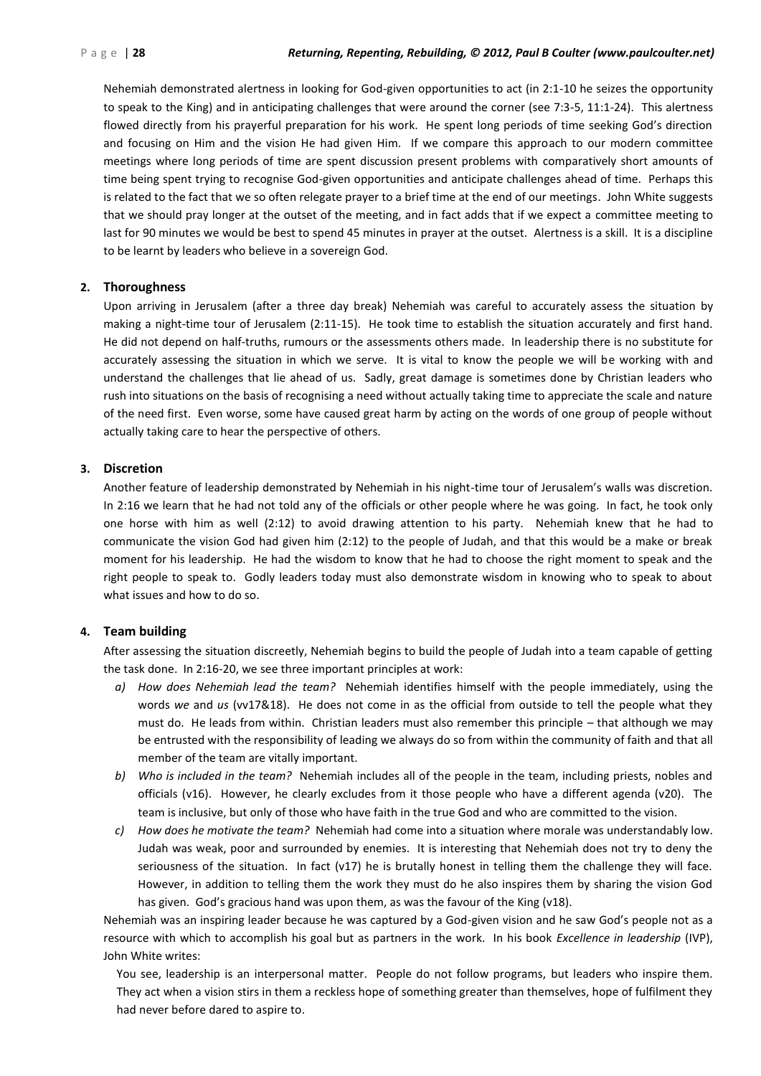Nehemiah demonstrated alertness in looking for God-given opportunities to act (in 2:1-10 he seizes the opportunity to speak to the King) and in anticipating challenges that were around the corner (see 7:3-5, 11:1-24).This alertness flowed directly from his prayerful preparation for his work. He spent long periods of time seeking God's direction and focusing on Him and the vision He had given Him. If we compare this approach to our modern committee meetings where long periods of time are spent discussion present problems with comparatively short amounts of time being spent trying to recognise God-given opportunities and anticipate challenges ahead of time. Perhaps this is related to the fact that we so often relegate prayer to a brief time at the end of our meetings. John White suggests that we should pray longer at the outset of the meeting, and in fact adds that if we expect a committee meeting to last for 90 minutes we would be best to spend 45 minutes in prayer at the outset. Alertness is a skill. It is a discipline to be learnt by leaders who believe in a sovereign God.

#### **2. Thoroughness**

Upon arriving in Jerusalem (after a three day break) Nehemiah was careful to accurately assess the situation by making a night-time tour of Jerusalem (2:11-15). He took time to establish the situation accurately and first hand. He did not depend on half-truths, rumours or the assessments others made. In leadership there is no substitute for accurately assessing the situation in which we serve. It is vital to know the people we will be working with and understand the challenges that lie ahead of us. Sadly, great damage is sometimes done by Christian leaders who rush into situations on the basis of recognising a need without actually taking time to appreciate the scale and nature of the need first. Even worse, some have caused great harm by acting on the words of one group of people without actually taking care to hear the perspective of others.

#### **3. Discretion**

Another feature of leadership demonstrated by Nehemiah in his night-time tour of Jerusalem's walls was discretion. In 2:16 we learn that he had not told any of the officials or other people where he was going. In fact, he took only one horse with him as well (2:12) to avoid drawing attention to his party. Nehemiah knew that he had to communicate the vision God had given him (2:12) to the people of Judah, and that this would be a make or break moment for his leadership. He had the wisdom to know that he had to choose the right moment to speak and the right people to speak to. Godly leaders today must also demonstrate wisdom in knowing who to speak to about what issues and how to do so.

#### **4. Team building**

After assessing the situation discreetly, Nehemiah begins to build the people of Judah into a team capable of getting the task done. In 2:16-20, we see three important principles at work:

- *a) How does Nehemiah lead the team?* Nehemiah identifies himself with the people immediately, using the words *we* and *us* (vv17&18). He does not come in as the official from outside to tell the people what they must do. He leads from within. Christian leaders must also remember this principle – that although we may be entrusted with the responsibility of leading we always do so from within the community of faith and that all member of the team are vitally important.
- *b) Who is included in the team?* Nehemiah includes all of the people in the team, including priests, nobles and officials (v16). However, he clearly excludes from it those people who have a different agenda (v20). The team is inclusive, but only of those who have faith in the true God and who are committed to the vision.
- *c) How does he motivate the team?* Nehemiah had come into a situation where morale was understandably low. Judah was weak, poor and surrounded by enemies. It is interesting that Nehemiah does not try to deny the seriousness of the situation. In fact (v17) he is brutally honest in telling them the challenge they will face. However, in addition to telling them the work they must do he also inspires them by sharing the vision God has given. God's gracious hand was upon them, as was the favour of the King (v18).

Nehemiah was an inspiring leader because he was captured by a God-given vision and he saw God's people not as a resource with which to accomplish his goal but as partners in the work. In his book *Excellence in leadership* (IVP), John White writes:

You see, leadership is an interpersonal matter. People do not follow programs, but leaders who inspire them. They act when a vision stirs in them a reckless hope of something greater than themselves, hope of fulfilment they had never before dared to aspire to.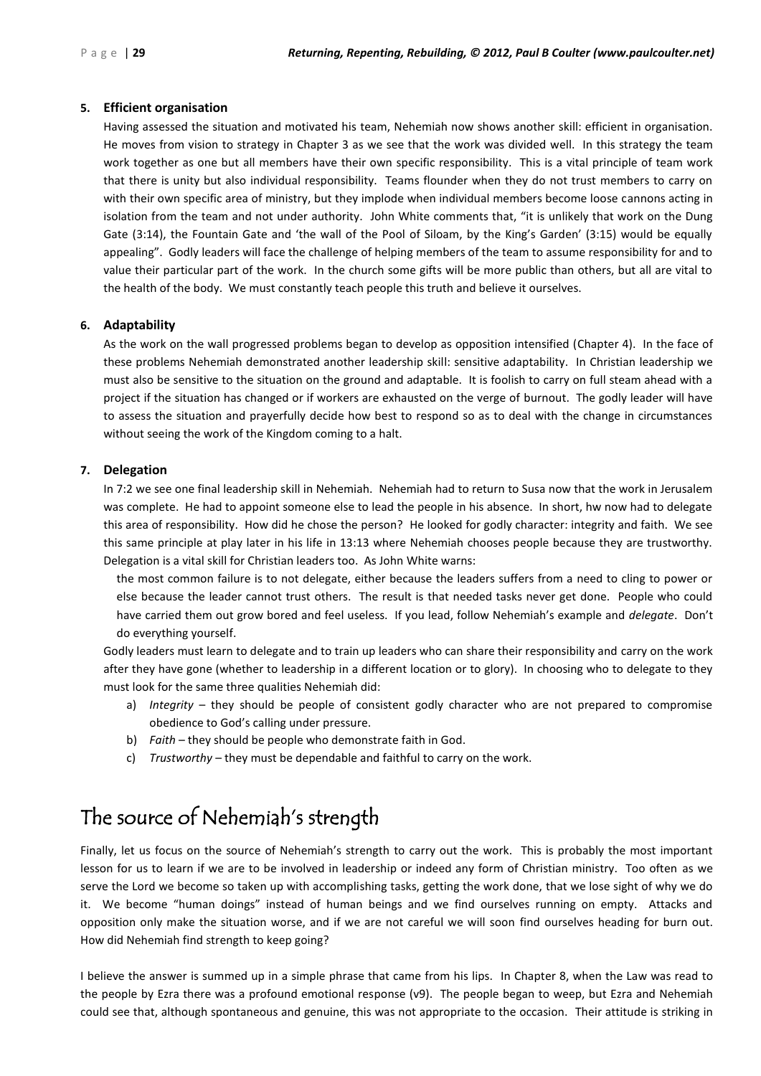#### **5. Efficient organisation**

Having assessed the situation and motivated his team, Nehemiah now shows another skill: efficient in organisation. He moves from vision to strategy in Chapter 3 as we see that the work was divided well. In this strategy the team work together as one but all members have their own specific responsibility. This is a vital principle of team work that there is unity but also individual responsibility. Teams flounder when they do not trust members to carry on with their own specific area of ministry, but they implode when individual members become loose cannons acting in isolation from the team and not under authority. John White comments that, "it is unlikely that work on the Dung Gate (3:14), the Fountain Gate and 'the wall of the Pool of Siloam, by the King's Garden' (3:15) would be equally appealing". Godly leaders will face the challenge of helping members of the team to assume responsibility for and to value their particular part of the work. In the church some gifts will be more public than others, but all are vital to the health of the body. We must constantly teach people this truth and believe it ourselves.

### **6. Adaptability**

As the work on the wall progressed problems began to develop as opposition intensified (Chapter 4). In the face of these problems Nehemiah demonstrated another leadership skill: sensitive adaptability. In Christian leadership we must also be sensitive to the situation on the ground and adaptable. It is foolish to carry on full steam ahead with a project if the situation has changed or if workers are exhausted on the verge of burnout. The godly leader will have to assess the situation and prayerfully decide how best to respond so as to deal with the change in circumstances without seeing the work of the Kingdom coming to a halt.

### **7. Delegation**

In 7:2 we see one final leadership skill in Nehemiah. Nehemiah had to return to Susa now that the work in Jerusalem was complete. He had to appoint someone else to lead the people in his absence. In short, hw now had to delegate this area of responsibility. How did he chose the person? He looked for godly character: integrity and faith. We see this same principle at play later in his life in 13:13 where Nehemiah chooses people because they are trustworthy. Delegation is a vital skill for Christian leaders too. As John White warns:

the most common failure is to not delegate, either because the leaders suffers from a need to cling to power or else because the leader cannot trust others. The result is that needed tasks never get done. People who could have carried them out grow bored and feel useless. If you lead, follow Nehemiah's example and *delegate*. Don't do everything yourself.

Godly leaders must learn to delegate and to train up leaders who can share their responsibility and carry on the work after they have gone (whether to leadership in a different location or to glory). In choosing who to delegate to they must look for the same three qualities Nehemiah did:

- a) *Integrity* they should be people of consistent godly character who are not prepared to compromise obedience to God's calling under pressure.
- b) *Faith* they should be people who demonstrate faith in God.
- c) *Trustworthy* they must be dependable and faithful to carry on the work.

### The source of Nehemiah's strength

Finally, let us focus on the source of Nehemiah's strength to carry out the work. This is probably the most important lesson for us to learn if we are to be involved in leadership or indeed any form of Christian ministry. Too often as we serve the Lord we become so taken up with accomplishing tasks, getting the work done, that we lose sight of why we do it. We become "human doings" instead of human beings and we find ourselves running on empty. Attacks and opposition only make the situation worse, and if we are not careful we will soon find ourselves heading for burn out. How did Nehemiah find strength to keep going?

I believe the answer is summed up in a simple phrase that came from his lips. In Chapter 8, when the Law was read to the people by Ezra there was a profound emotional response (v9). The people began to weep, but Ezra and Nehemiah could see that, although spontaneous and genuine, this was not appropriate to the occasion. Their attitude is striking in